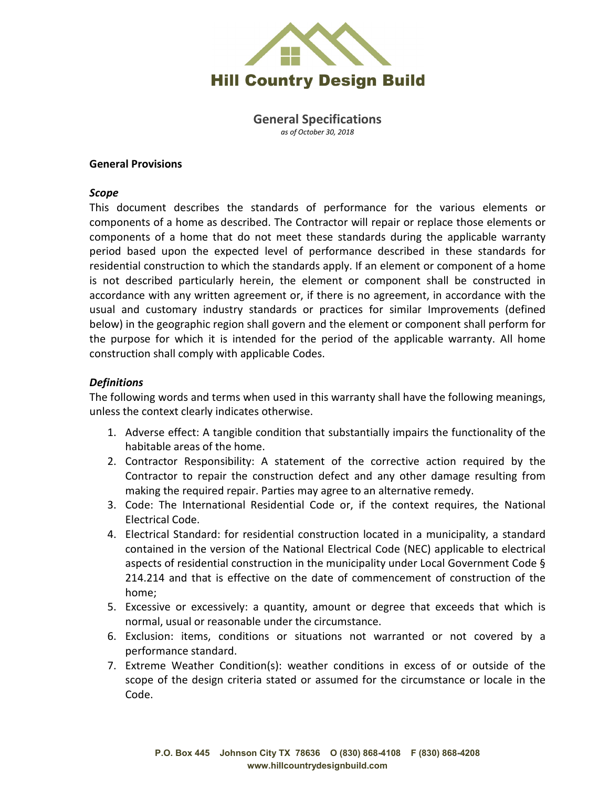

**General Specifications** *as of October 30, 2018*

#### **General Provisions**

#### *Scope*

This document describes the standards of performance for the various elements or components of a home as described. The Contractor will repair or replace those elements or components of a home that do not meet these standards during the applicable warranty period based upon the expected level of performance described in these standards for residential construction to which the standards apply. If an element or component of a home is not described particularly herein, the element or component shall be constructed in accordance with any written agreement or, if there is no agreement, in accordance with the usual and customary industry standards or practices for similar Improvements (defined below) in the geographic region shall govern and the element or component shall perform for the purpose for which it is intended for the period of the applicable warranty. All home construction shall comply with applicable Codes.

#### *Definitions*

The following words and terms when used in this warranty shall have the following meanings, unless the context clearly indicates otherwise.

- 1. Adverse effect: A tangible condition that substantially impairs the functionality of the habitable areas of the home.
- 2. Contractor Responsibility: A statement of the corrective action required by the Contractor to repair the construction defect and any other damage resulting from making the required repair. Parties may agree to an alternative remedy.
- 3. Code: The International Residential Code or, if the context requires, the National Electrical Code.
- 4. Electrical Standard: for residential construction located in a municipality, a standard contained in the version of the National Electrical Code (NEC) applicable to electrical aspects of residential construction in the municipality under Local Government Code § 214.214 and that is effective on the date of commencement of construction of the home;
- 5. Excessive or excessively: a quantity, amount or degree that exceeds that which is normal, usual or reasonable under the circumstance.
- 6. Exclusion: items, conditions or situations not warranted or not covered by a performance standard.
- 7. Extreme Weather Condition(s): weather conditions in excess of or outside of the scope of the design criteria stated or assumed for the circumstance or locale in the Code.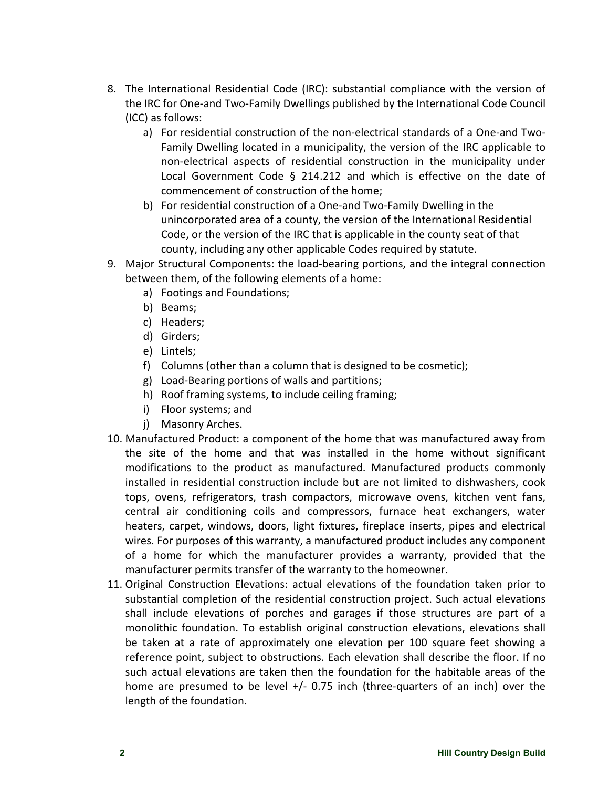- 8. The International Residential Code (IRC): substantial compliance with the version of the IRC for One-and Two-Family Dwellings published by the International Code Council (ICC) as follows:
	- a) For residential construction of the non-electrical standards of a One-and Two-Family Dwelling located in a municipality, the version of the IRC applicable to non-electrical aspects of residential construction in the municipality under Local Government Code § 214.212 and which is effective on the date of commencement of construction of the home;
	- b) For residential construction of a One-and Two-Family Dwelling in the unincorporated area of a county, the version of the International Residential Code, or the version of the IRC that is applicable in the county seat of that county, including any other applicable Codes required by statute.
- 9. Major Structural Components: the load-bearing portions, and the integral connection between them, of the following elements of a home:
	- a) Footings and Foundations;
	- b) Beams;
	- c) Headers;
	- d) Girders;
	- e) Lintels;
	- f) Columns (other than a column that is designed to be cosmetic);
	- g) Load-Bearing portions of walls and partitions;
	- h) Roof framing systems, to include ceiling framing;
	- i) Floor systems; and
	- j) Masonry Arches.
- 10. Manufactured Product: a component of the home that was manufactured away from the site of the home and that was installed in the home without significant modifications to the product as manufactured. Manufactured products commonly installed in residential construction include but are not limited to dishwashers, cook tops, ovens, refrigerators, trash compactors, microwave ovens, kitchen vent fans, central air conditioning coils and compressors, furnace heat exchangers, water heaters, carpet, windows, doors, light fixtures, fireplace inserts, pipes and electrical wires. For purposes of this warranty, a manufactured product includes any component of a home for which the manufacturer provides a warranty, provided that the manufacturer permits transfer of the warranty to the homeowner.
- 11. Original Construction Elevations: actual elevations of the foundation taken prior to substantial completion of the residential construction project. Such actual elevations shall include elevations of porches and garages if those structures are part of a monolithic foundation. To establish original construction elevations, elevations shall be taken at a rate of approximately one elevation per 100 square feet showing a reference point, subject to obstructions. Each elevation shall describe the floor. If no such actual elevations are taken then the foundation for the habitable areas of the home are presumed to be level +/- 0.75 inch (three-quarters of an inch) over the length of the foundation.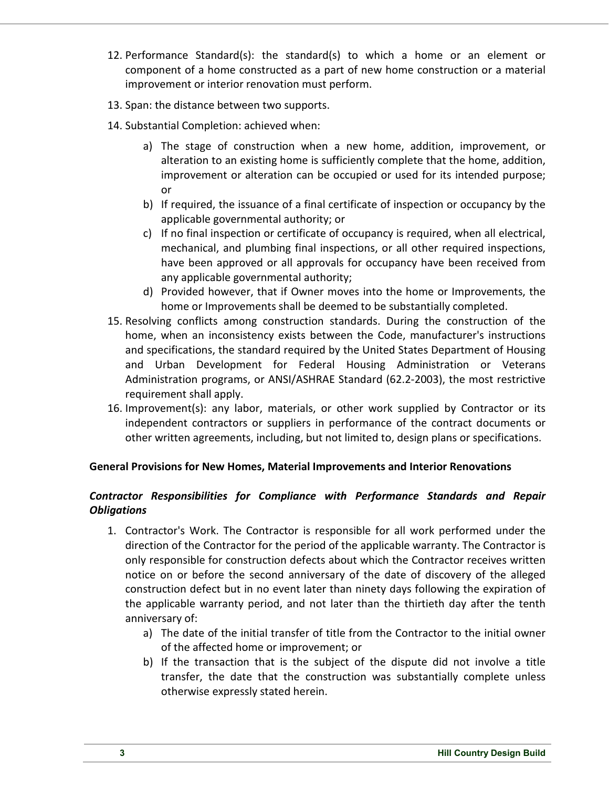- 12. Performance Standard(s): the standard(s) to which a home or an element or component of a home constructed as a part of new home construction or a material improvement or interior renovation must perform.
- 13. Span: the distance between two supports.
- 14. Substantial Completion: achieved when:
	- a) The stage of construction when a new home, addition, improvement, or alteration to an existing home is sufficiently complete that the home, addition, improvement or alteration can be occupied or used for its intended purpose; or
	- b) If required, the issuance of a final certificate of inspection or occupancy by the applicable governmental authority; or
	- c) If no final inspection or certificate of occupancy is required, when all electrical, mechanical, and plumbing final inspections, or all other required inspections, have been approved or all approvals for occupancy have been received from any applicable governmental authority;
	- d) Provided however, that if Owner moves into the home or Improvements, the home or Improvements shall be deemed to be substantially completed.
- 15. Resolving conflicts among construction standards. During the construction of the home, when an inconsistency exists between the Code, manufacturer's instructions and specifications, the standard required by the United States Department of Housing and Urban Development for Federal Housing Administration or Veterans Administration programs, or ANSI/ASHRAE Standard (62.2-2003), the most restrictive requirement shall apply.
- 16. Improvement(s): any labor, materials, or other work supplied by Contractor or its independent contractors or suppliers in performance of the contract documents or other written agreements, including, but not limited to, design plans or specifications.

#### **General Provisions for New Homes, Material Improvements and Interior Renovations**

## *Contractor Responsibilities for Compliance with Performance Standards and Repair Obligations*

- 1. Contractor's Work. The Contractor is responsible for all work performed under the direction of the Contractor for the period of the applicable warranty. The Contractor is only responsible for construction defects about which the Contractor receives written notice on or before the second anniversary of the date of discovery of the alleged construction defect but in no event later than ninety days following the expiration of the applicable warranty period, and not later than the thirtieth day after the tenth anniversary of:
	- a) The date of the initial transfer of title from the Contractor to the initial owner of the affected home or improvement; or
	- b) If the transaction that is the subject of the dispute did not involve a title transfer, the date that the construction was substantially complete unless otherwise expressly stated herein.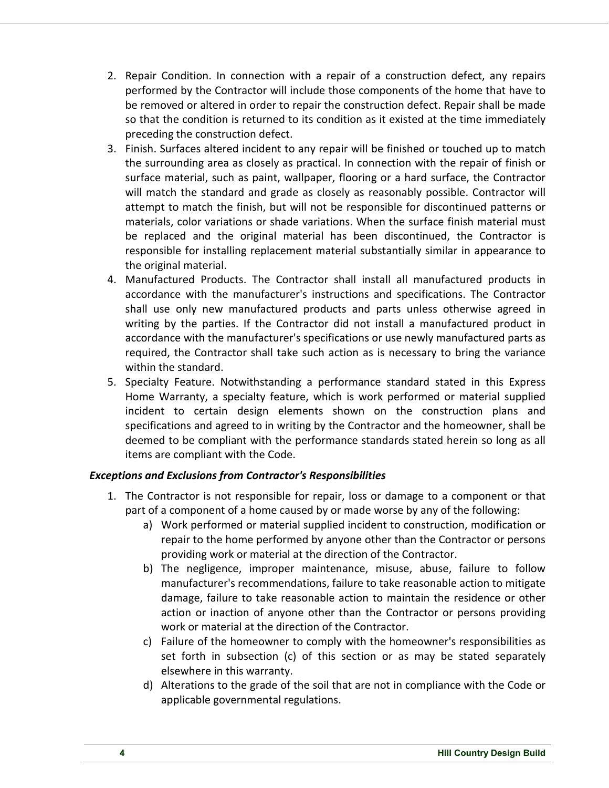- 2. Repair Condition. In connection with a repair of a construction defect, any repairs performed by the Contractor will include those components of the home that have to be removed or altered in order to repair the construction defect. Repair shall be made so that the condition is returned to its condition as it existed at the time immediately preceding the construction defect.
- 3. Finish. Surfaces altered incident to any repair will be finished or touched up to match the surrounding area as closely as practical. In connection with the repair of finish or surface material, such as paint, wallpaper, flooring or a hard surface, the Contractor will match the standard and grade as closely as reasonably possible. Contractor will attempt to match the finish, but will not be responsible for discontinued patterns or materials, color variations or shade variations. When the surface finish material must be replaced and the original material has been discontinued, the Contractor is responsible for installing replacement material substantially similar in appearance to the original material.
- 4. Manufactured Products. The Contractor shall install all manufactured products in accordance with the manufacturer's instructions and specifications. The Contractor shall use only new manufactured products and parts unless otherwise agreed in writing by the parties. If the Contractor did not install a manufactured product in accordance with the manufacturer's specifications or use newly manufactured parts as required, the Contractor shall take such action as is necessary to bring the variance within the standard.
- 5. Specialty Feature. Notwithstanding a performance standard stated in this Express Home Warranty, a specialty feature, which is work performed or material supplied incident to certain design elements shown on the construction plans and specifications and agreed to in writing by the Contractor and the homeowner, shall be deemed to be compliant with the performance standards stated herein so long as all items are compliant with the Code.

## *Exceptions and Exclusions from Contractor's Responsibilities*

- 1. The Contractor is not responsible for repair, loss or damage to a component or that part of a component of a home caused by or made worse by any of the following:
	- a) Work performed or material supplied incident to construction, modification or repair to the home performed by anyone other than the Contractor or persons providing work or material at the direction of the Contractor.
	- b) The negligence, improper maintenance, misuse, abuse, failure to follow manufacturer's recommendations, failure to take reasonable action to mitigate damage, failure to take reasonable action to maintain the residence or other action or inaction of anyone other than the Contractor or persons providing work or material at the direction of the Contractor.
	- c) Failure of the homeowner to comply with the homeowner's responsibilities as set forth in subsection (c) of this section or as may be stated separately elsewhere in this warranty.
	- d) Alterations to the grade of the soil that are not in compliance with the Code or applicable governmental regulations.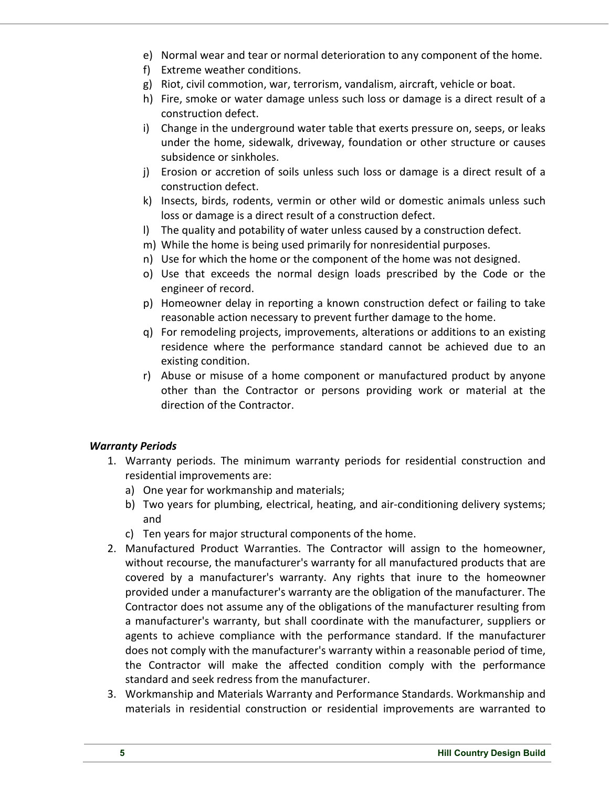- e) Normal wear and tear or normal deterioration to any component of the home.
- f) Extreme weather conditions.
- g) Riot, civil commotion, war, terrorism, vandalism, aircraft, vehicle or boat.
- h) Fire, smoke or water damage unless such loss or damage is a direct result of a construction defect.
- i) Change in the underground water table that exerts pressure on, seeps, or leaks under the home, sidewalk, driveway, foundation or other structure or causes subsidence or sinkholes.
- j) Erosion or accretion of soils unless such loss or damage is a direct result of a construction defect.
- k) Insects, birds, rodents, vermin or other wild or domestic animals unless such loss or damage is a direct result of a construction defect.
- l) The quality and potability of water unless caused by a construction defect.
- m) While the home is being used primarily for nonresidential purposes.
- n) Use for which the home or the component of the home was not designed.
- o) Use that exceeds the normal design loads prescribed by the Code or the engineer of record.
- p) Homeowner delay in reporting a known construction defect or failing to take reasonable action necessary to prevent further damage to the home.
- q) For remodeling projects, improvements, alterations or additions to an existing residence where the performance standard cannot be achieved due to an existing condition.
- r) Abuse or misuse of a home component or manufactured product by anyone other than the Contractor or persons providing work or material at the direction of the Contractor.

## *Warranty Periods*

- 1. Warranty periods. The minimum warranty periods for residential construction and residential improvements are:
	- a) One year for workmanship and materials;
	- b) Two years for plumbing, electrical, heating, and air-conditioning delivery systems; and
	- c) Ten years for major structural components of the home.
- 2. Manufactured Product Warranties. The Contractor will assign to the homeowner, without recourse, the manufacturer's warranty for all manufactured products that are covered by a manufacturer's warranty. Any rights that inure to the homeowner provided under a manufacturer's warranty are the obligation of the manufacturer. The Contractor does not assume any of the obligations of the manufacturer resulting from a manufacturer's warranty, but shall coordinate with the manufacturer, suppliers or agents to achieve compliance with the performance standard. If the manufacturer does not comply with the manufacturer's warranty within a reasonable period of time, the Contractor will make the affected condition comply with the performance standard and seek redress from the manufacturer.
- 3. Workmanship and Materials Warranty and Performance Standards. Workmanship and materials in residential construction or residential improvements are warranted to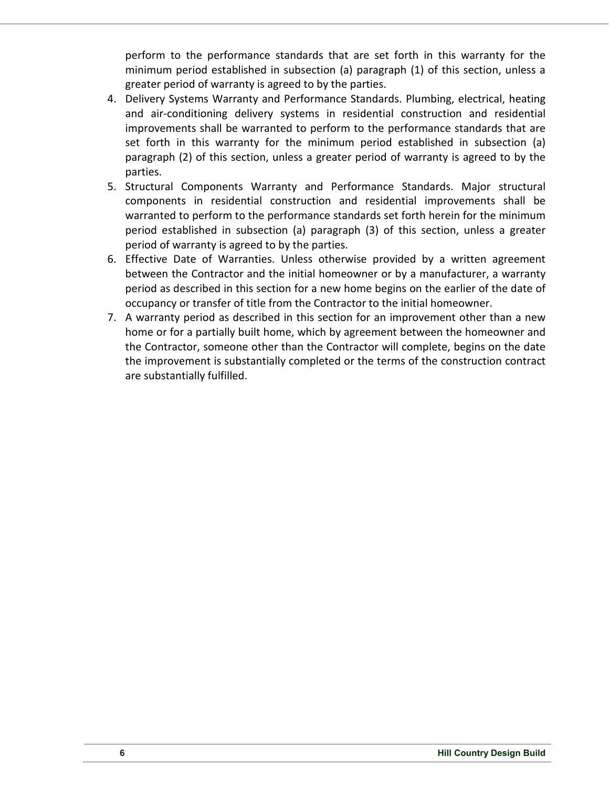perform to the performance standards that are set forth in this warranty for the minimum period established in subsection (a) paragraph (1) of this section, unless a greater period of warranty is agreed to by the parties.

- 4. Delivery Systems Warranty and Performance Standards. Plumbing, electrical, heating and air-conditioning delivery systems in residential construction and residential improvements shall be warranted to perform to the performance standards that are set forth in this warranty for the minimum period established in subsection (a) paragraph (2) of this section, unless a greater period of warranty is agreed to by the parties.
- 5. Structural Components Warranty and Performance Standards. Major structural components in residential construction and residential improvements shall be warranted to perform to the performance standards set forth herein for the minimum period established in subsection (a) paragraph (3) of this section, unless a greater period of warranty is agreed to by the parties.
- 6. Effective Date of Warranties. Unless otherwise provided by a written agreement between the Contractor and the initial homeowner or by a manufacturer, a warranty period as described in this section for a new home begins on the earlier of the date of occupancy or transfer of title from the Contractor to the initial homeowner.
- 7. A warranty period as described in this section for an improvement other than a new home or for a partially built home, which by agreement between the homeowner and the Contractor, someone other than the Contractor will complete, begins on the date the improvement is substantially completed or the terms of the construction contract are substantially fulfilled.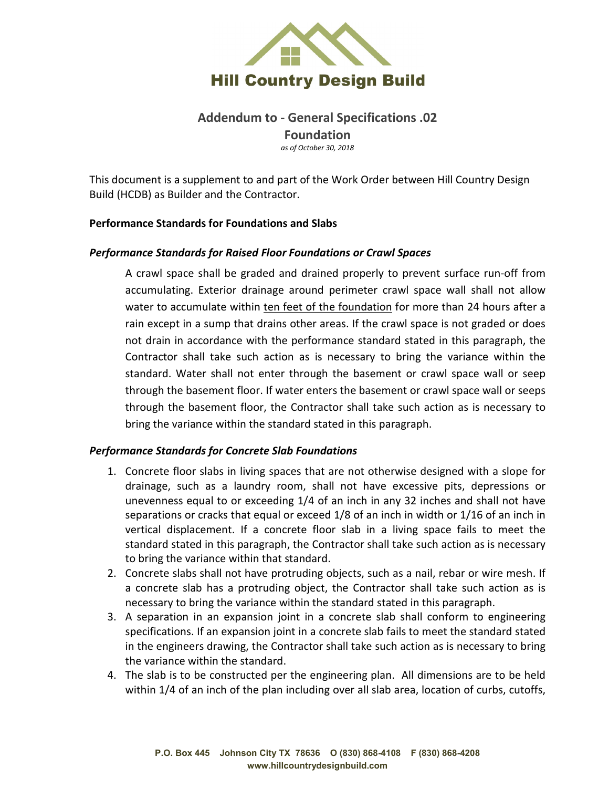

# **Addendum to - General Specifications .02 Foundation** *as of October 30, 2018*

This document is a supplement to and part of the Work Order between Hill Country Design Build (HCDB) as Builder and the Contractor.

#### **Performance Standards for Foundations and Slabs**

#### *Performance Standards for Raised Floor Foundations or Crawl Spaces*

A crawl space shall be graded and drained properly to prevent surface run-off from accumulating. Exterior drainage around perimeter crawl space wall shall not allow water to accumulate within ten feet of the foundation for more than 24 hours after a rain except in a sump that drains other areas. If the crawl space is not graded or does not drain in accordance with the performance standard stated in this paragraph, the Contractor shall take such action as is necessary to bring the variance within the standard. Water shall not enter through the basement or crawl space wall or seep through the basement floor. If water enters the basement or crawl space wall or seeps through the basement floor, the Contractor shall take such action as is necessary to bring the variance within the standard stated in this paragraph.

#### *Performance Standards for Concrete Slab Foundations*

- 1. Concrete floor slabs in living spaces that are not otherwise designed with a slope for drainage, such as a laundry room, shall not have excessive pits, depressions or unevenness equal to or exceeding 1/4 of an inch in any 32 inches and shall not have separations or cracks that equal or exceed 1/8 of an inch in width or 1/16 of an inch in vertical displacement. If a concrete floor slab in a living space fails to meet the standard stated in this paragraph, the Contractor shall take such action as is necessary to bring the variance within that standard.
- 2. Concrete slabs shall not have protruding objects, such as a nail, rebar or wire mesh. If a concrete slab has a protruding object, the Contractor shall take such action as is necessary to bring the variance within the standard stated in this paragraph.
- 3. A separation in an expansion joint in a concrete slab shall conform to engineering specifications. If an expansion joint in a concrete slab fails to meet the standard stated in the engineers drawing, the Contractor shall take such action as is necessary to bring the variance within the standard.
- 4. The slab is to be constructed per the engineering plan. All dimensions are to be held within 1/4 of an inch of the plan including over all slab area, location of curbs, cutoffs,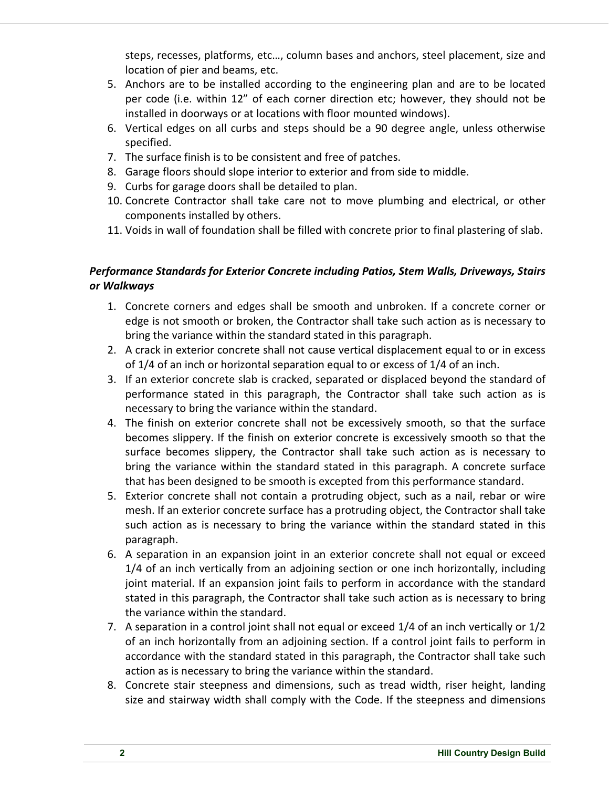steps, recesses, platforms, etc…, column bases and anchors, steel placement, size and location of pier and beams, etc.

- 5. Anchors are to be installed according to the engineering plan and are to be located per code (i.e. within 12" of each corner direction etc; however, they should not be installed in doorways or at locations with floor mounted windows).
- 6. Vertical edges on all curbs and steps should be a 90 degree angle, unless otherwise specified.
- 7. The surface finish is to be consistent and free of patches.
- 8. Garage floors should slope interior to exterior and from side to middle.
- 9. Curbs for garage doors shall be detailed to plan.
- 10. Concrete Contractor shall take care not to move plumbing and electrical, or other components installed by others.
- 11. Voids in wall of foundation shall be filled with concrete prior to final plastering of slab.

# *Performance Standards for Exterior Concrete including Patios, Stem Walls, Driveways, Stairs or Walkways*

- 1. Concrete corners and edges shall be smooth and unbroken. If a concrete corner or edge is not smooth or broken, the Contractor shall take such action as is necessary to bring the variance within the standard stated in this paragraph.
- 2. A crack in exterior concrete shall not cause vertical displacement equal to or in excess of 1/4 of an inch or horizontal separation equal to or excess of 1/4 of an inch.
- 3. If an exterior concrete slab is cracked, separated or displaced beyond the standard of performance stated in this paragraph, the Contractor shall take such action as is necessary to bring the variance within the standard.
- 4. The finish on exterior concrete shall not be excessively smooth, so that the surface becomes slippery. If the finish on exterior concrete is excessively smooth so that the surface becomes slippery, the Contractor shall take such action as is necessary to bring the variance within the standard stated in this paragraph. A concrete surface that has been designed to be smooth is excepted from this performance standard.
- 5. Exterior concrete shall not contain a protruding object, such as a nail, rebar or wire mesh. If an exterior concrete surface has a protruding object, the Contractor shall take such action as is necessary to bring the variance within the standard stated in this paragraph.
- 6. A separation in an expansion joint in an exterior concrete shall not equal or exceed 1/4 of an inch vertically from an adjoining section or one inch horizontally, including joint material. If an expansion joint fails to perform in accordance with the standard stated in this paragraph, the Contractor shall take such action as is necessary to bring the variance within the standard.
- 7. A separation in a control joint shall not equal or exceed 1/4 of an inch vertically or 1/2 of an inch horizontally from an adjoining section. If a control joint fails to perform in accordance with the standard stated in this paragraph, the Contractor shall take such action as is necessary to bring the variance within the standard.
- 8. Concrete stair steepness and dimensions, such as tread width, riser height, landing size and stairway width shall comply with the Code. If the steepness and dimensions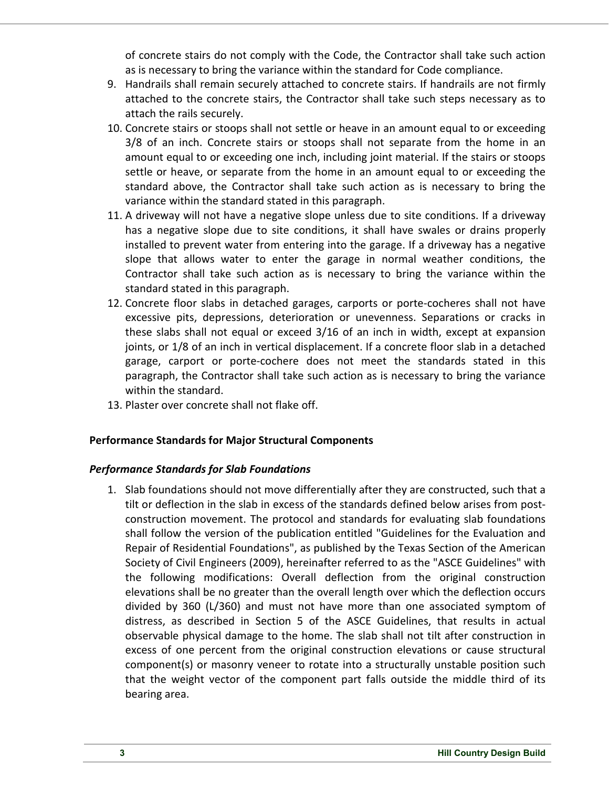of concrete stairs do not comply with the Code, the Contractor shall take such action as is necessary to bring the variance within the standard for Code compliance.

- 9. Handrails shall remain securely attached to concrete stairs. If handrails are not firmly attached to the concrete stairs, the Contractor shall take such steps necessary as to attach the rails securely.
- 10. Concrete stairs or stoops shall not settle or heave in an amount equal to or exceeding 3/8 of an inch. Concrete stairs or stoops shall not separate from the home in an amount equal to or exceeding one inch, including joint material. If the stairs or stoops settle or heave, or separate from the home in an amount equal to or exceeding the standard above, the Contractor shall take such action as is necessary to bring the variance within the standard stated in this paragraph.
- 11. A driveway will not have a negative slope unless due to site conditions. If a driveway has a negative slope due to site conditions, it shall have swales or drains properly installed to prevent water from entering into the garage. If a driveway has a negative slope that allows water to enter the garage in normal weather conditions, the Contractor shall take such action as is necessary to bring the variance within the standard stated in this paragraph.
- 12. Concrete floor slabs in detached garages, carports or porte-cocheres shall not have excessive pits, depressions, deterioration or unevenness. Separations or cracks in these slabs shall not equal or exceed 3/16 of an inch in width, except at expansion joints, or 1/8 of an inch in vertical displacement. If a concrete floor slab in a detached garage, carport or porte-cochere does not meet the standards stated in this paragraph, the Contractor shall take such action as is necessary to bring the variance within the standard.
- 13. Plaster over concrete shall not flake off.

## **Performance Standards for Major Structural Components**

## *Performance Standards for Slab Foundations*

1. Slab foundations should not move differentially after they are constructed, such that a tilt or deflection in the slab in excess of the standards defined below arises from postconstruction movement. The protocol and standards for evaluating slab foundations shall follow the version of the publication entitled "Guidelines for the Evaluation and Repair of Residential Foundations", as published by the Texas Section of the American Society of Civil Engineers (2009), hereinafter referred to as the "ASCE Guidelines" with the following modifications: Overall deflection from the original construction elevations shall be no greater than the overall length over which the deflection occurs divided by 360 (L/360) and must not have more than one associated symptom of distress, as described in Section 5 of the ASCE Guidelines, that results in actual observable physical damage to the home. The slab shall not tilt after construction in excess of one percent from the original construction elevations or cause structural component(s) or masonry veneer to rotate into a structurally unstable position such that the weight vector of the component part falls outside the middle third of its bearing area.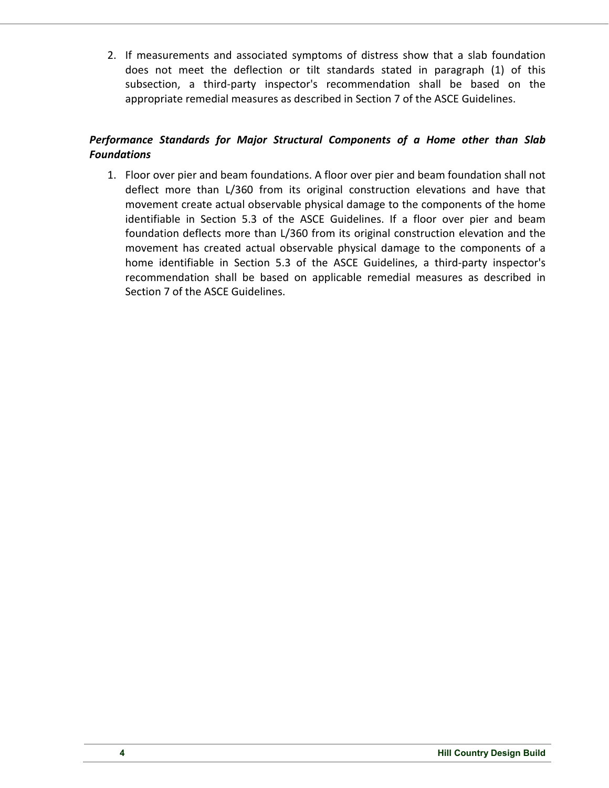2. If measurements and associated symptoms of distress show that a slab foundation does not meet the deflection or tilt standards stated in paragraph (1) of this subsection, a third-party inspector's recommendation shall be based on the appropriate remedial measures as described in Section 7 of the ASCE Guidelines.

## *Performance Standards for Major Structural Components of a Home other than Slab Foundations*

1. Floor over pier and beam foundations. A floor over pier and beam foundation shall not deflect more than L/360 from its original construction elevations and have that movement create actual observable physical damage to the components of the home identifiable in Section 5.3 of the ASCE Guidelines. If a floor over pier and beam foundation deflects more than L/360 from its original construction elevation and the movement has created actual observable physical damage to the components of a home identifiable in Section 5.3 of the ASCE Guidelines, a third-party inspector's recommendation shall be based on applicable remedial measures as described in Section 7 of the ASCE Guidelines.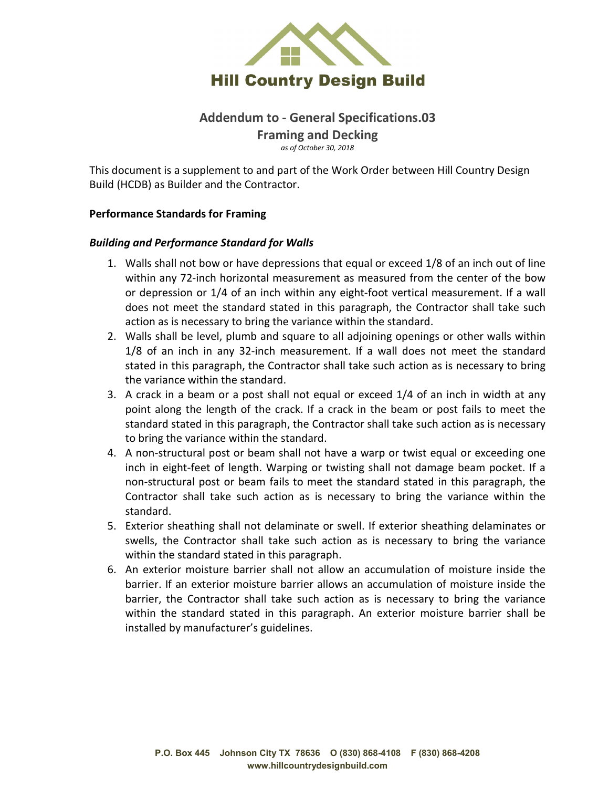

## **Addendum to - General Specifications.03 Framing and Decking** *as of October 30, 2018*

This document is a supplement to and part of the Work Order between Hill Country Design Build (HCDB) as Builder and the Contractor.

#### **Performance Standards for Framing**

#### *Building and Performance Standard for Walls*

- 1. Walls shall not bow or have depressions that equal or exceed 1/8 of an inch out of line within any 72-inch horizontal measurement as measured from the center of the bow or depression or 1/4 of an inch within any eight-foot vertical measurement. If a wall does not meet the standard stated in this paragraph, the Contractor shall take such action as is necessary to bring the variance within the standard.
- 2. Walls shall be level, plumb and square to all adjoining openings or other walls within 1/8 of an inch in any 32-inch measurement. If a wall does not meet the standard stated in this paragraph, the Contractor shall take such action as is necessary to bring the variance within the standard.
- 3. A crack in a beam or a post shall not equal or exceed 1/4 of an inch in width at any point along the length of the crack. If a crack in the beam or post fails to meet the standard stated in this paragraph, the Contractor shall take such action as is necessary to bring the variance within the standard.
- 4. A non-structural post or beam shall not have a warp or twist equal or exceeding one inch in eight-feet of length. Warping or twisting shall not damage beam pocket. If a non-structural post or beam fails to meet the standard stated in this paragraph, the Contractor shall take such action as is necessary to bring the variance within the standard.
- 5. Exterior sheathing shall not delaminate or swell. If exterior sheathing delaminates or swells, the Contractor shall take such action as is necessary to bring the variance within the standard stated in this paragraph.
- 6. An exterior moisture barrier shall not allow an accumulation of moisture inside the barrier. If an exterior moisture barrier allows an accumulation of moisture inside the barrier, the Contractor shall take such action as is necessary to bring the variance within the standard stated in this paragraph. An exterior moisture barrier shall be installed by manufacturer's guidelines.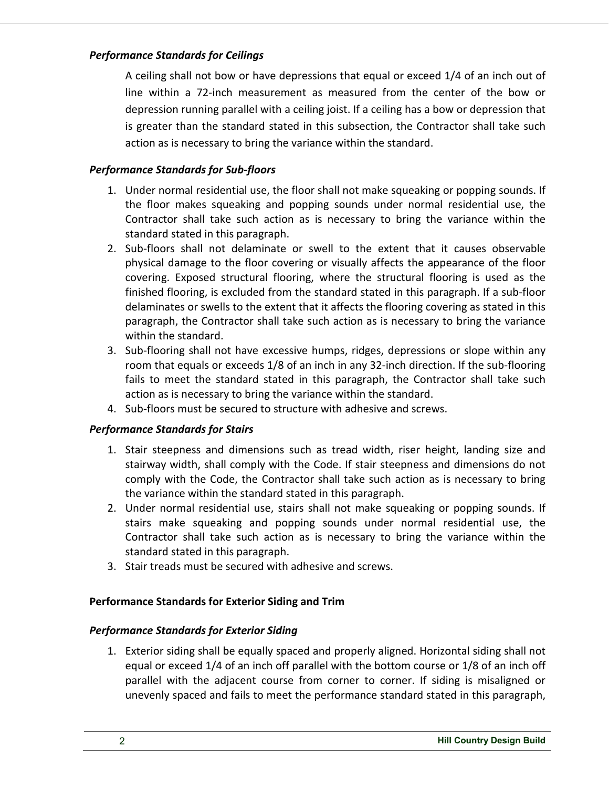## *Performance Standards for Ceilings*

A ceiling shall not bow or have depressions that equal or exceed 1/4 of an inch out of line within a 72-inch measurement as measured from the center of the bow or depression running parallel with a ceiling joist. If a ceiling has a bow or depression that is greater than the standard stated in this subsection, the Contractor shall take such action as is necessary to bring the variance within the standard.

## *Performance Standards for Sub-floors*

- 1. Under normal residential use, the floor shall not make squeaking or popping sounds. If the floor makes squeaking and popping sounds under normal residential use, the Contractor shall take such action as is necessary to bring the variance within the standard stated in this paragraph.
- 2. Sub-floors shall not delaminate or swell to the extent that it causes observable physical damage to the floor covering or visually affects the appearance of the floor covering. Exposed structural flooring, where the structural flooring is used as the finished flooring, is excluded from the standard stated in this paragraph. If a sub-floor delaminates or swells to the extent that it affects the flooring covering as stated in this paragraph, the Contractor shall take such action as is necessary to bring the variance within the standard.
- 3. Sub-flooring shall not have excessive humps, ridges, depressions or slope within any room that equals or exceeds 1/8 of an inch in any 32-inch direction. If the sub-flooring fails to meet the standard stated in this paragraph, the Contractor shall take such action as is necessary to bring the variance within the standard.
- 4. Sub-floors must be secured to structure with adhesive and screws.

# *Performance Standards for Stairs*

- 1. Stair steepness and dimensions such as tread width, riser height, landing size and stairway width, shall comply with the Code. If stair steepness and dimensions do not comply with the Code, the Contractor shall take such action as is necessary to bring the variance within the standard stated in this paragraph.
- 2. Under normal residential use, stairs shall not make squeaking or popping sounds. If stairs make squeaking and popping sounds under normal residential use, the Contractor shall take such action as is necessary to bring the variance within the standard stated in this paragraph.
- 3. Stair treads must be secured with adhesive and screws.

## **Performance Standards for Exterior Siding and Trim**

## *Performance Standards for Exterior Siding*

1. Exterior siding shall be equally spaced and properly aligned. Horizontal siding shall not equal or exceed 1/4 of an inch off parallel with the bottom course or 1/8 of an inch off parallel with the adjacent course from corner to corner. If siding is misaligned or unevenly spaced and fails to meet the performance standard stated in this paragraph,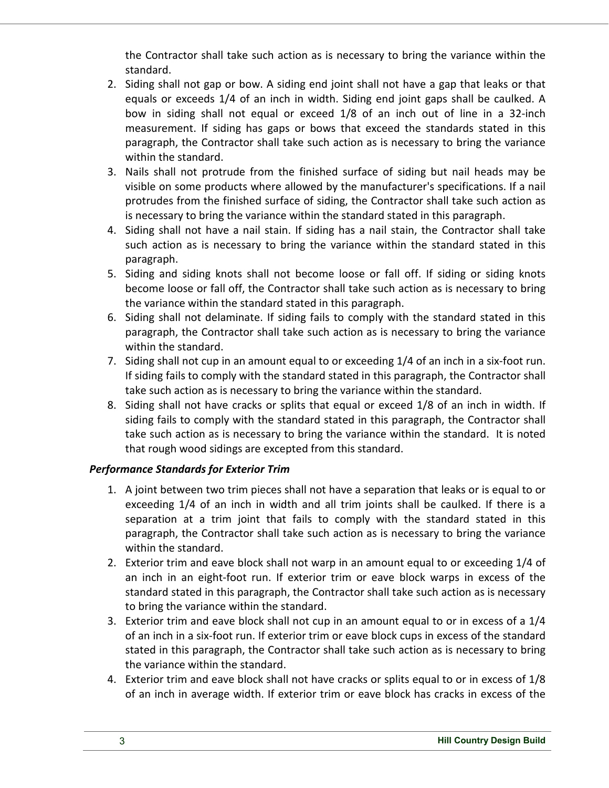the Contractor shall take such action as is necessary to bring the variance within the standard.

- 2. Siding shall not gap or bow. A siding end joint shall not have a gap that leaks or that equals or exceeds 1/4 of an inch in width. Siding end joint gaps shall be caulked. A bow in siding shall not equal or exceed 1/8 of an inch out of line in a 32-inch measurement. If siding has gaps or bows that exceed the standards stated in this paragraph, the Contractor shall take such action as is necessary to bring the variance within the standard.
- 3. Nails shall not protrude from the finished surface of siding but nail heads may be visible on some products where allowed by the manufacturer's specifications. If a nail protrudes from the finished surface of siding, the Contractor shall take such action as is necessary to bring the variance within the standard stated in this paragraph.
- 4. Siding shall not have a nail stain. If siding has a nail stain, the Contractor shall take such action as is necessary to bring the variance within the standard stated in this paragraph.
- 5. Siding and siding knots shall not become loose or fall off. If siding or siding knots become loose or fall off, the Contractor shall take such action as is necessary to bring the variance within the standard stated in this paragraph.
- 6. Siding shall not delaminate. If siding fails to comply with the standard stated in this paragraph, the Contractor shall take such action as is necessary to bring the variance within the standard.
- 7. Siding shall not cup in an amount equal to or exceeding 1/4 of an inch in a six-foot run. If siding fails to comply with the standard stated in this paragraph, the Contractor shall take such action as is necessary to bring the variance within the standard.
- 8. Siding shall not have cracks or splits that equal or exceed 1/8 of an inch in width. If siding fails to comply with the standard stated in this paragraph, the Contractor shall take such action as is necessary to bring the variance within the standard. It is noted that rough wood sidings are excepted from this standard.

# *Performance Standards for Exterior Trim*

- 1. A joint between two trim pieces shall not have a separation that leaks or is equal to or exceeding 1/4 of an inch in width and all trim joints shall be caulked. If there is a separation at a trim joint that fails to comply with the standard stated in this paragraph, the Contractor shall take such action as is necessary to bring the variance within the standard.
- 2. Exterior trim and eave block shall not warp in an amount equal to or exceeding 1/4 of an inch in an eight-foot run. If exterior trim or eave block warps in excess of the standard stated in this paragraph, the Contractor shall take such action as is necessary to bring the variance within the standard.
- 3. Exterior trim and eave block shall not cup in an amount equal to or in excess of a 1/4 of an inch in a six-foot run. If exterior trim or eave block cups in excess of the standard stated in this paragraph, the Contractor shall take such action as is necessary to bring the variance within the standard.
- 4. Exterior trim and eave block shall not have cracks or splits equal to or in excess of 1/8 of an inch in average width. If exterior trim or eave block has cracks in excess of the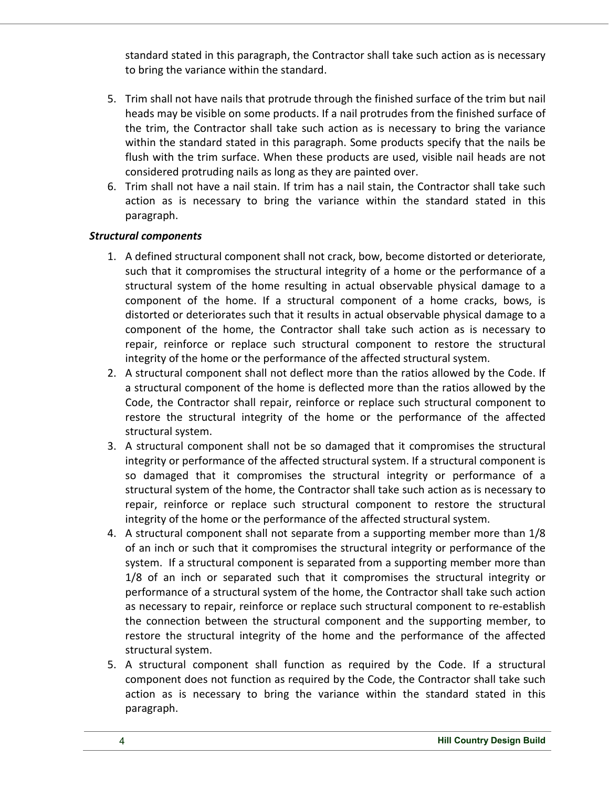standard stated in this paragraph, the Contractor shall take such action as is necessary to bring the variance within the standard.

- 5. Trim shall not have nails that protrude through the finished surface of the trim but nail heads may be visible on some products. If a nail protrudes from the finished surface of the trim, the Contractor shall take such action as is necessary to bring the variance within the standard stated in this paragraph. Some products specify that the nails be flush with the trim surface. When these products are used, visible nail heads are not considered protruding nails as long as they are painted over.
- 6. Trim shall not have a nail stain. If trim has a nail stain, the Contractor shall take such action as is necessary to bring the variance within the standard stated in this paragraph.

## *Structural components*

- 1. A defined structural component shall not crack, bow, become distorted or deteriorate, such that it compromises the structural integrity of a home or the performance of a structural system of the home resulting in actual observable physical damage to a component of the home. If a structural component of a home cracks, bows, is distorted or deteriorates such that it results in actual observable physical damage to a component of the home, the Contractor shall take such action as is necessary to repair, reinforce or replace such structural component to restore the structural integrity of the home or the performance of the affected structural system.
- 2. A structural component shall not deflect more than the ratios allowed by the Code. If a structural component of the home is deflected more than the ratios allowed by the Code, the Contractor shall repair, reinforce or replace such structural component to restore the structural integrity of the home or the performance of the affected structural system.
- 3. A structural component shall not be so damaged that it compromises the structural integrity or performance of the affected structural system. If a structural component is so damaged that it compromises the structural integrity or performance of a structural system of the home, the Contractor shall take such action as is necessary to repair, reinforce or replace such structural component to restore the structural integrity of the home or the performance of the affected structural system.
- 4. A structural component shall not separate from a supporting member more than 1/8 of an inch or such that it compromises the structural integrity or performance of the system. If a structural component is separated from a supporting member more than 1/8 of an inch or separated such that it compromises the structural integrity or performance of a structural system of the home, the Contractor shall take such action as necessary to repair, reinforce or replace such structural component to re-establish the connection between the structural component and the supporting member, to restore the structural integrity of the home and the performance of the affected structural system.
- 5. A structural component shall function as required by the Code. If a structural component does not function as required by the Code, the Contractor shall take such action as is necessary to bring the variance within the standard stated in this paragraph.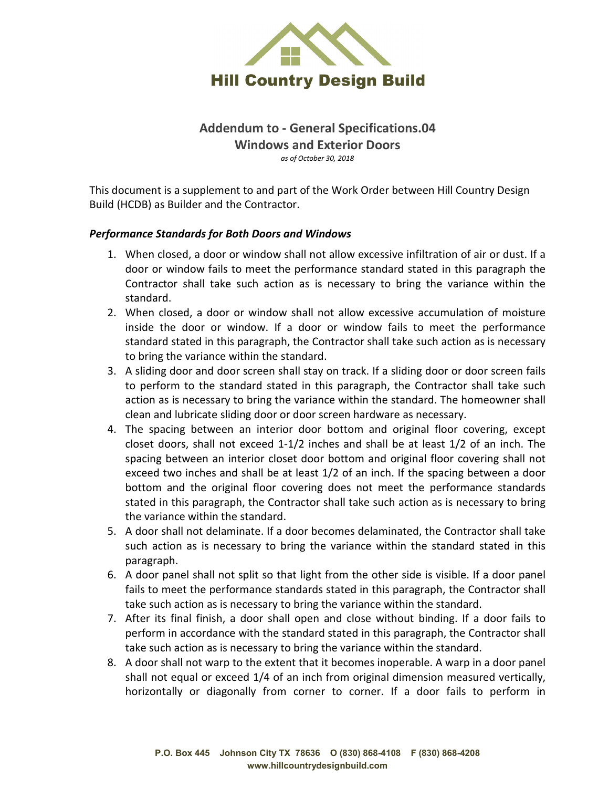

**Addendum to - General Specifications.04 Windows and Exterior Doors** *as of October 30, 2018*

This document is a supplement to and part of the Work Order between Hill Country Design Build (HCDB) as Builder and the Contractor.

#### *Performance Standards for Both Doors and Windows*

- 1. When closed, a door or window shall not allow excessive infiltration of air or dust. If a door or window fails to meet the performance standard stated in this paragraph the Contractor shall take such action as is necessary to bring the variance within the standard.
- 2. When closed, a door or window shall not allow excessive accumulation of moisture inside the door or window. If a door or window fails to meet the performance standard stated in this paragraph, the Contractor shall take such action as is necessary to bring the variance within the standard.
- 3. A sliding door and door screen shall stay on track. If a sliding door or door screen fails to perform to the standard stated in this paragraph, the Contractor shall take such action as is necessary to bring the variance within the standard. The homeowner shall clean and lubricate sliding door or door screen hardware as necessary.
- 4. The spacing between an interior door bottom and original floor covering, except closet doors, shall not exceed 1-1/2 inches and shall be at least 1/2 of an inch. The spacing between an interior closet door bottom and original floor covering shall not exceed two inches and shall be at least 1/2 of an inch. If the spacing between a door bottom and the original floor covering does not meet the performance standards stated in this paragraph, the Contractor shall take such action as is necessary to bring the variance within the standard.
- 5. A door shall not delaminate. If a door becomes delaminated, the Contractor shall take such action as is necessary to bring the variance within the standard stated in this paragraph.
- 6. A door panel shall not split so that light from the other side is visible. If a door panel fails to meet the performance standards stated in this paragraph, the Contractor shall take such action as is necessary to bring the variance within the standard.
- 7. After its final finish, a door shall open and close without binding. If a door fails to perform in accordance with the standard stated in this paragraph, the Contractor shall take such action as is necessary to bring the variance within the standard.
- 8. A door shall not warp to the extent that it becomes inoperable. A warp in a door panel shall not equal or exceed 1/4 of an inch from original dimension measured vertically, horizontally or diagonally from corner to corner. If a door fails to perform in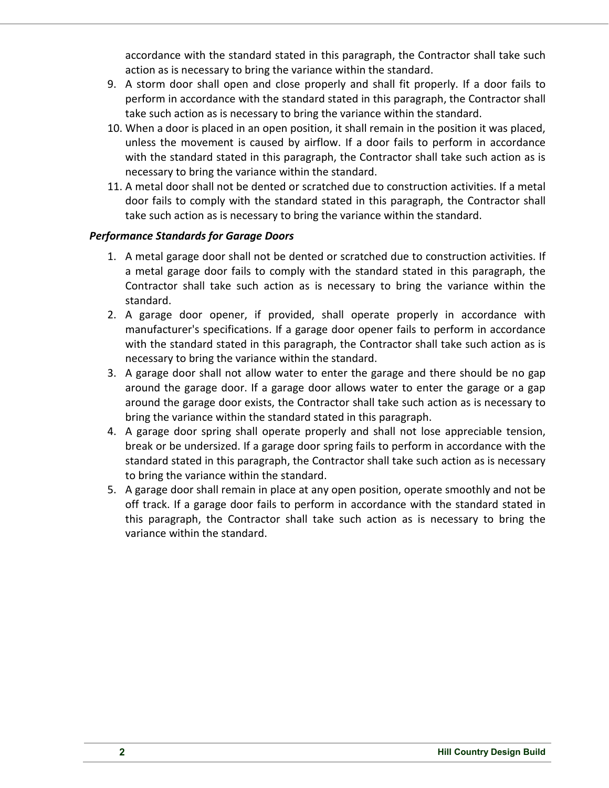accordance with the standard stated in this paragraph, the Contractor shall take such action as is necessary to bring the variance within the standard.

- 9. A storm door shall open and close properly and shall fit properly. If a door fails to perform in accordance with the standard stated in this paragraph, the Contractor shall take such action as is necessary to bring the variance within the standard.
- 10. When a door is placed in an open position, it shall remain in the position it was placed, unless the movement is caused by airflow. If a door fails to perform in accordance with the standard stated in this paragraph, the Contractor shall take such action as is necessary to bring the variance within the standard.
- 11. A metal door shall not be dented or scratched due to construction activities. If a metal door fails to comply with the standard stated in this paragraph, the Contractor shall take such action as is necessary to bring the variance within the standard.

## *Performance Standards for Garage Doors*

- 1. A metal garage door shall not be dented or scratched due to construction activities. If a metal garage door fails to comply with the standard stated in this paragraph, the Contractor shall take such action as is necessary to bring the variance within the standard.
- 2. A garage door opener, if provided, shall operate properly in accordance with manufacturer's specifications. If a garage door opener fails to perform in accordance with the standard stated in this paragraph, the Contractor shall take such action as is necessary to bring the variance within the standard.
- 3. A garage door shall not allow water to enter the garage and there should be no gap around the garage door. If a garage door allows water to enter the garage or a gap around the garage door exists, the Contractor shall take such action as is necessary to bring the variance within the standard stated in this paragraph.
- 4. A garage door spring shall operate properly and shall not lose appreciable tension, break or be undersized. If a garage door spring fails to perform in accordance with the standard stated in this paragraph, the Contractor shall take such action as is necessary to bring the variance within the standard.
- 5. A garage door shall remain in place at any open position, operate smoothly and not be off track. If a garage door fails to perform in accordance with the standard stated in this paragraph, the Contractor shall take such action as is necessary to bring the variance within the standard.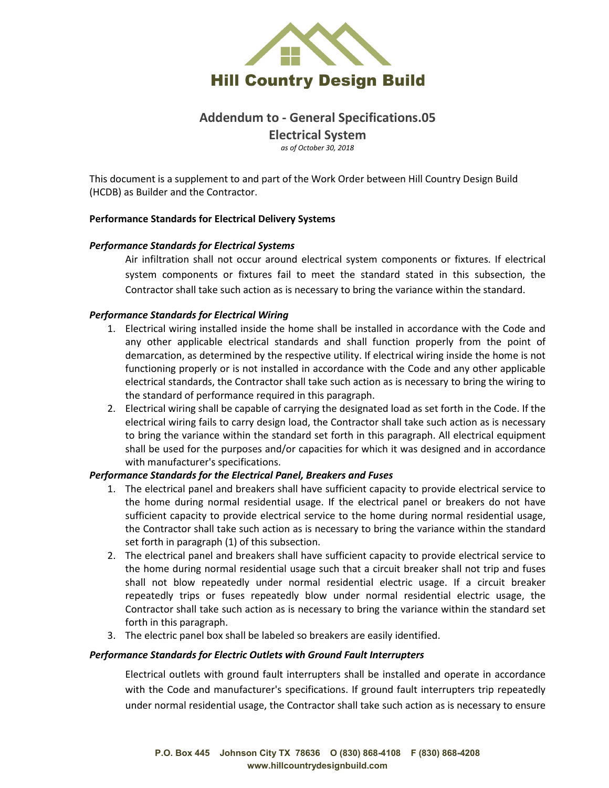

## **Addendum to - General Specifications.05 Electrical System** *as of October 30, 2018*

This document is a supplement to and part of the Work Order between Hill Country Design Build (HCDB) as Builder and the Contractor.

#### **Performance Standards for Electrical Delivery Systems**

#### *Performance Standards for Electrical Systems*

Air infiltration shall not occur around electrical system components or fixtures. If electrical system components or fixtures fail to meet the standard stated in this subsection, the Contractor shall take such action as is necessary to bring the variance within the standard.

#### *Performance Standards for Electrical Wiring*

- 1. Electrical wiring installed inside the home shall be installed in accordance with the Code and any other applicable electrical standards and shall function properly from the point of demarcation, as determined by the respective utility. If electrical wiring inside the home is not functioning properly or is not installed in accordance with the Code and any other applicable electrical standards, the Contractor shall take such action as is necessary to bring the wiring to the standard of performance required in this paragraph.
- 2. Electrical wiring shall be capable of carrying the designated load as set forth in the Code. If the electrical wiring fails to carry design load, the Contractor shall take such action as is necessary to bring the variance within the standard set forth in this paragraph. All electrical equipment shall be used for the purposes and/or capacities for which it was designed and in accordance with manufacturer's specifications.

#### *Performance Standards for the Electrical Panel, Breakers and Fuses*

- 1. The electrical panel and breakers shall have sufficient capacity to provide electrical service to the home during normal residential usage. If the electrical panel or breakers do not have sufficient capacity to provide electrical service to the home during normal residential usage, the Contractor shall take such action as is necessary to bring the variance within the standard set forth in paragraph (1) of this subsection.
- 2. The electrical panel and breakers shall have sufficient capacity to provide electrical service to the home during normal residential usage such that a circuit breaker shall not trip and fuses shall not blow repeatedly under normal residential electric usage. If a circuit breaker repeatedly trips or fuses repeatedly blow under normal residential electric usage, the Contractor shall take such action as is necessary to bring the variance within the standard set forth in this paragraph.
- 3. The electric panel box shall be labeled so breakers are easily identified.

#### *Performance Standards for Electric Outlets with Ground Fault Interrupters*

Electrical outlets with ground fault interrupters shall be installed and operate in accordance with the Code and manufacturer's specifications. If ground fault interrupters trip repeatedly under normal residential usage, the Contractor shall take such action as is necessary to ensure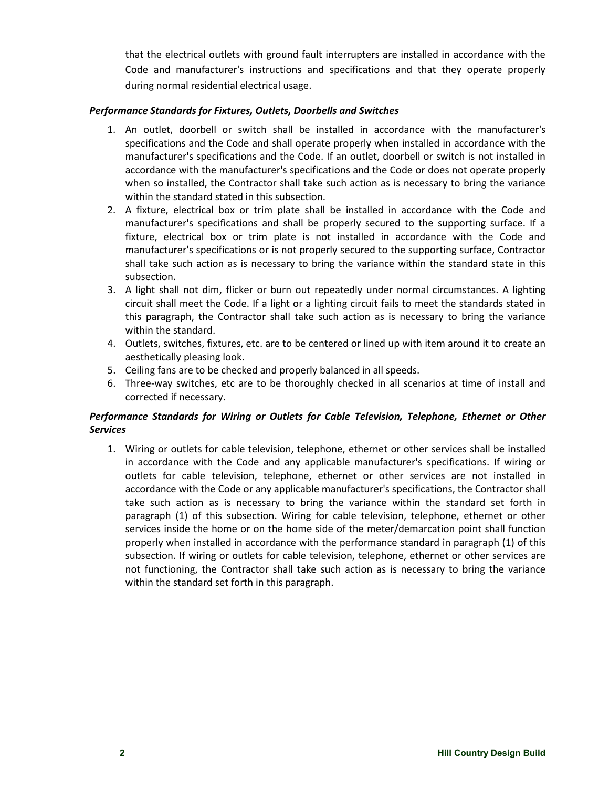that the electrical outlets with ground fault interrupters are installed in accordance with the Code and manufacturer's instructions and specifications and that they operate properly during normal residential electrical usage.

#### *Performance Standards for Fixtures, Outlets, Doorbells and Switches*

- 1. An outlet, doorbell or switch shall be installed in accordance with the manufacturer's specifications and the Code and shall operate properly when installed in accordance with the manufacturer's specifications and the Code. If an outlet, doorbell or switch is not installed in accordance with the manufacturer's specifications and the Code or does not operate properly when so installed, the Contractor shall take such action as is necessary to bring the variance within the standard stated in this subsection.
- 2. A fixture, electrical box or trim plate shall be installed in accordance with the Code and manufacturer's specifications and shall be properly secured to the supporting surface. If a fixture, electrical box or trim plate is not installed in accordance with the Code and manufacturer's specifications or is not properly secured to the supporting surface, Contractor shall take such action as is necessary to bring the variance within the standard state in this subsection.
- 3. A light shall not dim, flicker or burn out repeatedly under normal circumstances. A lighting circuit shall meet the Code. If a light or a lighting circuit fails to meet the standards stated in this paragraph, the Contractor shall take such action as is necessary to bring the variance within the standard.
- 4. Outlets, switches, fixtures, etc. are to be centered or lined up with item around it to create an aesthetically pleasing look.
- 5. Ceiling fans are to be checked and properly balanced in all speeds.
- 6. Three-way switches, etc are to be thoroughly checked in all scenarios at time of install and corrected if necessary.

## *Performance Standards for Wiring or Outlets for Cable Television, Telephone, Ethernet or Other Services*

1. Wiring or outlets for cable television, telephone, ethernet or other services shall be installed in accordance with the Code and any applicable manufacturer's specifications. If wiring or outlets for cable television, telephone, ethernet or other services are not installed in accordance with the Code or any applicable manufacturer's specifications, the Contractor shall take such action as is necessary to bring the variance within the standard set forth in paragraph (1) of this subsection. Wiring for cable television, telephone, ethernet or other services inside the home or on the home side of the meter/demarcation point shall function properly when installed in accordance with the performance standard in paragraph (1) of this subsection. If wiring or outlets for cable television, telephone, ethernet or other services are not functioning, the Contractor shall take such action as is necessary to bring the variance within the standard set forth in this paragraph.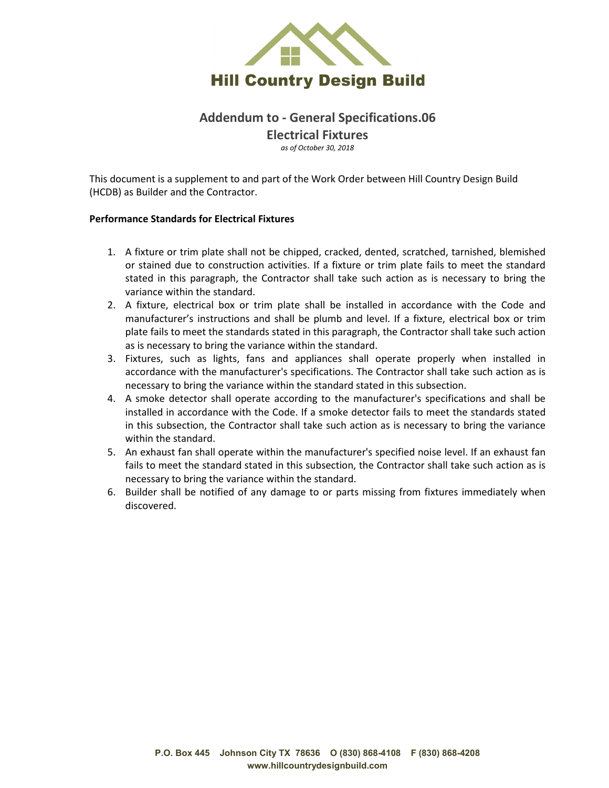

## **Addendum to - General Specifications.06 Electrical Fixtures** *as of October 30, 2018*

This document is a supplement to and part of the Work Order between Hill Country Design Build (HCDB) as Builder and the Contractor.

#### **Performance Standards for Electrical Fixtures**

- 1. A fixture or trim plate shall not be chipped, cracked, dented, scratched, tarnished, blemished or stained due to construction activities. If a fixture or trim plate fails to meet the standard stated in this paragraph, the Contractor shall take such action as is necessary to bring the variance within the standard.
- 2. A fixture, electrical box or trim plate shall be installed in accordance with the Code and manufacturer's instructions and shall be plumb and level. If a fixture, electrical box or trim plate fails to meet the standards stated in this paragraph, the Contractor shall take such action as is necessary to bring the variance within the standard.
- 3. Fixtures, such as lights, fans and appliances shall operate properly when installed in accordance with the manufacturer's specifications. The Contractor shall take such action as is necessary to bring the variance within the standard stated in this subsection.
- 4. A smoke detector shall operate according to the manufacturer's specifications and shall be installed in accordance with the Code. If a smoke detector fails to meet the standards stated in this subsection, the Contractor shall take such action as is necessary to bring the variance within the standard.
- 5. An exhaust fan shall operate within the manufacturer's specified noise level. If an exhaust fan fails to meet the standard stated in this subsection, the Contractor shall take such action as is necessary to bring the variance within the standard.
- 6. Builder shall be notified of any damage to or parts missing from fixtures immediately when discovered.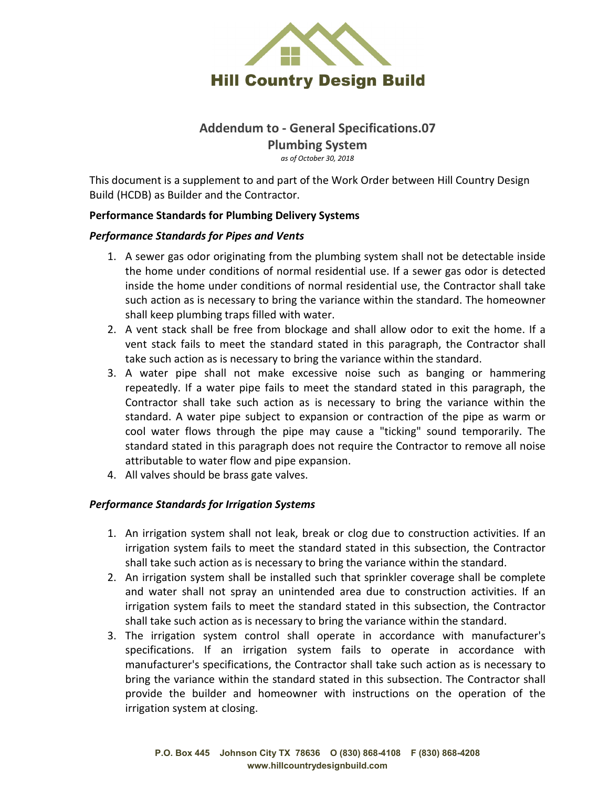

## **Addendum to - General Specifications.07**

**Plumbing System** *as of October 30, 2018*

This document is a supplement to and part of the Work Order between Hill Country Design Build (HCDB) as Builder and the Contractor.

## **Performance Standards for Plumbing Delivery Systems**

#### *Performance Standards for Pipes and Vents*

- 1. A sewer gas odor originating from the plumbing system shall not be detectable inside the home under conditions of normal residential use. If a sewer gas odor is detected inside the home under conditions of normal residential use, the Contractor shall take such action as is necessary to bring the variance within the standard. The homeowner shall keep plumbing traps filled with water.
- 2. A vent stack shall be free from blockage and shall allow odor to exit the home. If a vent stack fails to meet the standard stated in this paragraph, the Contractor shall take such action as is necessary to bring the variance within the standard.
- 3. A water pipe shall not make excessive noise such as banging or hammering repeatedly. If a water pipe fails to meet the standard stated in this paragraph, the Contractor shall take such action as is necessary to bring the variance within the standard. A water pipe subject to expansion or contraction of the pipe as warm or cool water flows through the pipe may cause a "ticking" sound temporarily. The standard stated in this paragraph does not require the Contractor to remove all noise attributable to water flow and pipe expansion.
- 4. All valves should be brass gate valves.

#### *Performance Standards for Irrigation Systems*

- 1. An irrigation system shall not leak, break or clog due to construction activities. If an irrigation system fails to meet the standard stated in this subsection, the Contractor shall take such action as is necessary to bring the variance within the standard.
- 2. An irrigation system shall be installed such that sprinkler coverage shall be complete and water shall not spray an unintended area due to construction activities. If an irrigation system fails to meet the standard stated in this subsection, the Contractor shall take such action as is necessary to bring the variance within the standard.
- 3. The irrigation system control shall operate in accordance with manufacturer's specifications. If an irrigation system fails to operate in accordance with manufacturer's specifications, the Contractor shall take such action as is necessary to bring the variance within the standard stated in this subsection. The Contractor shall provide the builder and homeowner with instructions on the operation of the irrigation system at closing.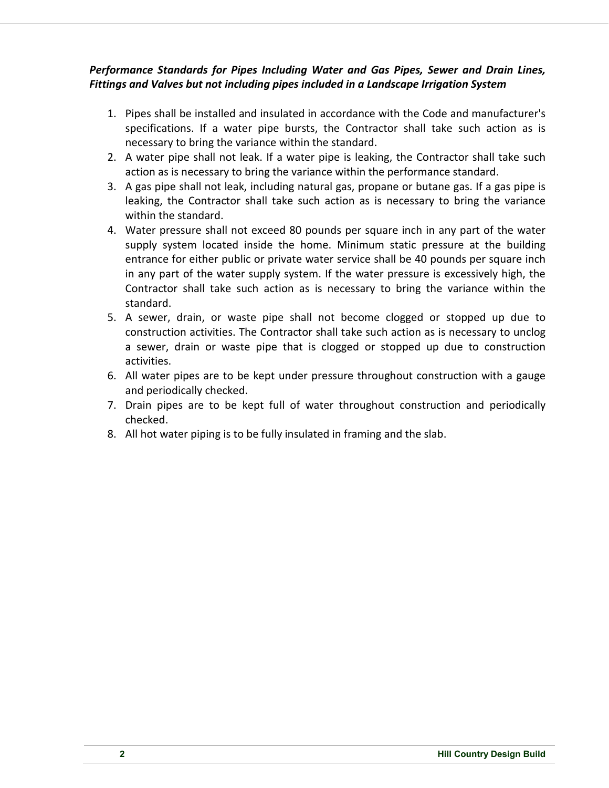## *Performance Standards for Pipes Including Water and Gas Pipes, Sewer and Drain Lines, Fittings and Valves but not including pipes included in a Landscape Irrigation System*

- 1. Pipes shall be installed and insulated in accordance with the Code and manufacturer's specifications. If a water pipe bursts, the Contractor shall take such action as is necessary to bring the variance within the standard.
- 2. A water pipe shall not leak. If a water pipe is leaking, the Contractor shall take such action as is necessary to bring the variance within the performance standard.
- 3. A gas pipe shall not leak, including natural gas, propane or butane gas. If a gas pipe is leaking, the Contractor shall take such action as is necessary to bring the variance within the standard.
- 4. Water pressure shall not exceed 80 pounds per square inch in any part of the water supply system located inside the home. Minimum static pressure at the building entrance for either public or private water service shall be 40 pounds per square inch in any part of the water supply system. If the water pressure is excessively high, the Contractor shall take such action as is necessary to bring the variance within the standard.
- 5. A sewer, drain, or waste pipe shall not become clogged or stopped up due to construction activities. The Contractor shall take such action as is necessary to unclog a sewer, drain or waste pipe that is clogged or stopped up due to construction activities.
- 6. All water pipes are to be kept under pressure throughout construction with a gauge and periodically checked.
- 7. Drain pipes are to be kept full of water throughout construction and periodically checked.
- 8. All hot water piping is to be fully insulated in framing and the slab.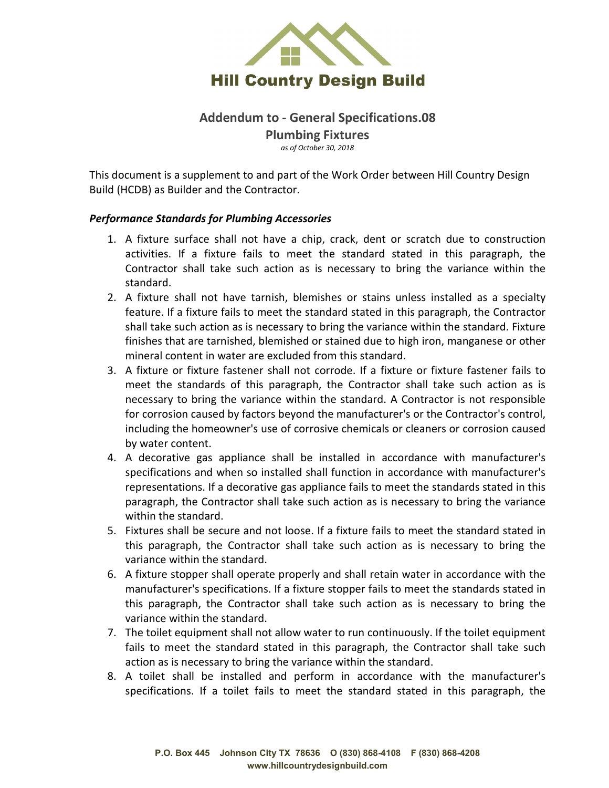

## **Addendum to - General Specifications.08 Plumbing Fixtures** *as of October 30, 2018*

This document is a supplement to and part of the Work Order between Hill Country Design Build (HCDB) as Builder and the Contractor.

#### *Performance Standards for Plumbing Accessories*

- 1. A fixture surface shall not have a chip, crack, dent or scratch due to construction activities. If a fixture fails to meet the standard stated in this paragraph, the Contractor shall take such action as is necessary to bring the variance within the standard.
- 2. A fixture shall not have tarnish, blemishes or stains unless installed as a specialty feature. If a fixture fails to meet the standard stated in this paragraph, the Contractor shall take such action as is necessary to bring the variance within the standard. Fixture finishes that are tarnished, blemished or stained due to high iron, manganese or other mineral content in water are excluded from this standard.
- 3. A fixture or fixture fastener shall not corrode. If a fixture or fixture fastener fails to meet the standards of this paragraph, the Contractor shall take such action as is necessary to bring the variance within the standard. A Contractor is not responsible for corrosion caused by factors beyond the manufacturer's or the Contractor's control, including the homeowner's use of corrosive chemicals or cleaners or corrosion caused by water content.
- 4. A decorative gas appliance shall be installed in accordance with manufacturer's specifications and when so installed shall function in accordance with manufacturer's representations. If a decorative gas appliance fails to meet the standards stated in this paragraph, the Contractor shall take such action as is necessary to bring the variance within the standard.
- 5. Fixtures shall be secure and not loose. If a fixture fails to meet the standard stated in this paragraph, the Contractor shall take such action as is necessary to bring the variance within the standard.
- 6. A fixture stopper shall operate properly and shall retain water in accordance with the manufacturer's specifications. If a fixture stopper fails to meet the standards stated in this paragraph, the Contractor shall take such action as is necessary to bring the variance within the standard.
- 7. The toilet equipment shall not allow water to run continuously. If the toilet equipment fails to meet the standard stated in this paragraph, the Contractor shall take such action as is necessary to bring the variance within the standard.
- 8. A toilet shall be installed and perform in accordance with the manufacturer's specifications. If a toilet fails to meet the standard stated in this paragraph, the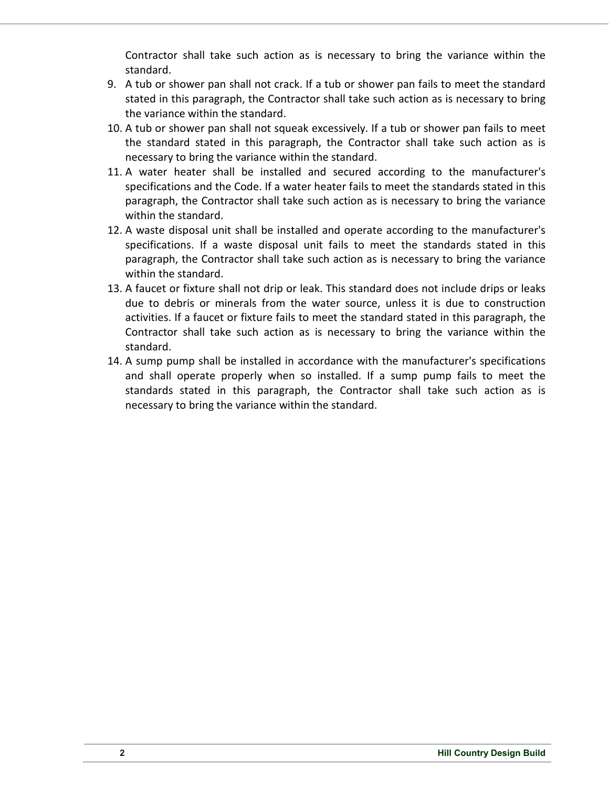Contractor shall take such action as is necessary to bring the variance within the standard.

- 9. A tub or shower pan shall not crack. If a tub or shower pan fails to meet the standard stated in this paragraph, the Contractor shall take such action as is necessary to bring the variance within the standard.
- 10. A tub or shower pan shall not squeak excessively. If a tub or shower pan fails to meet the standard stated in this paragraph, the Contractor shall take such action as is necessary to bring the variance within the standard.
- 11. A water heater shall be installed and secured according to the manufacturer's specifications and the Code. If a water heater fails to meet the standards stated in this paragraph, the Contractor shall take such action as is necessary to bring the variance within the standard.
- 12. A waste disposal unit shall be installed and operate according to the manufacturer's specifications. If a waste disposal unit fails to meet the standards stated in this paragraph, the Contractor shall take such action as is necessary to bring the variance within the standard.
- 13. A faucet or fixture shall not drip or leak. This standard does not include drips or leaks due to debris or minerals from the water source, unless it is due to construction activities. If a faucet or fixture fails to meet the standard stated in this paragraph, the Contractor shall take such action as is necessary to bring the variance within the standard.
- 14. A sump pump shall be installed in accordance with the manufacturer's specifications and shall operate properly when so installed. If a sump pump fails to meet the standards stated in this paragraph, the Contractor shall take such action as is necessary to bring the variance within the standard.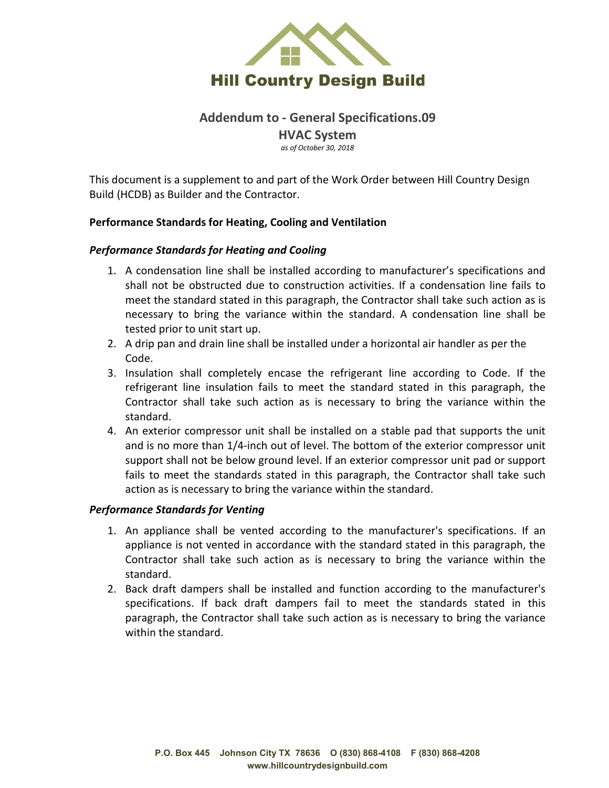

# **Addendum to - General Specifications.09 HVAC System** *as of October 30, 2018*

This document is a supplement to and part of the Work Order between Hill Country Design Build (HCDB) as Builder and the Contractor.

#### **Performance Standards for Heating, Cooling and Ventilation**

#### *Performance Standards for Heating and Cooling*

- 1. A condensation line shall be installed according to manufacturer's specifications and shall not be obstructed due to construction activities. If a condensation line fails to meet the standard stated in this paragraph, the Contractor shall take such action as is necessary to bring the variance within the standard. A condensation line shall be tested prior to unit start up.
- 2. A drip pan and drain line shall be installed under a horizontal air handler as per the Code.
- 3. Insulation shall completely encase the refrigerant line according to Code. If the refrigerant line insulation fails to meet the standard stated in this paragraph, the Contractor shall take such action as is necessary to bring the variance within the standard.
- 4. An exterior compressor unit shall be installed on a stable pad that supports the unit and is no more than 1/4-inch out of level. The bottom of the exterior compressor unit support shall not be below ground level. If an exterior compressor unit pad or support fails to meet the standards stated in this paragraph, the Contractor shall take such action as is necessary to bring the variance within the standard.

#### *Performance Standards for Venting*

- 1. An appliance shall be vented according to the manufacturer's specifications. If an appliance is not vented in accordance with the standard stated in this paragraph, the Contractor shall take such action as is necessary to bring the variance within the standard.
- 2. Back draft dampers shall be installed and function according to the manufacturer's specifications. If back draft dampers fail to meet the standards stated in this paragraph, the Contractor shall take such action as is necessary to bring the variance within the standard.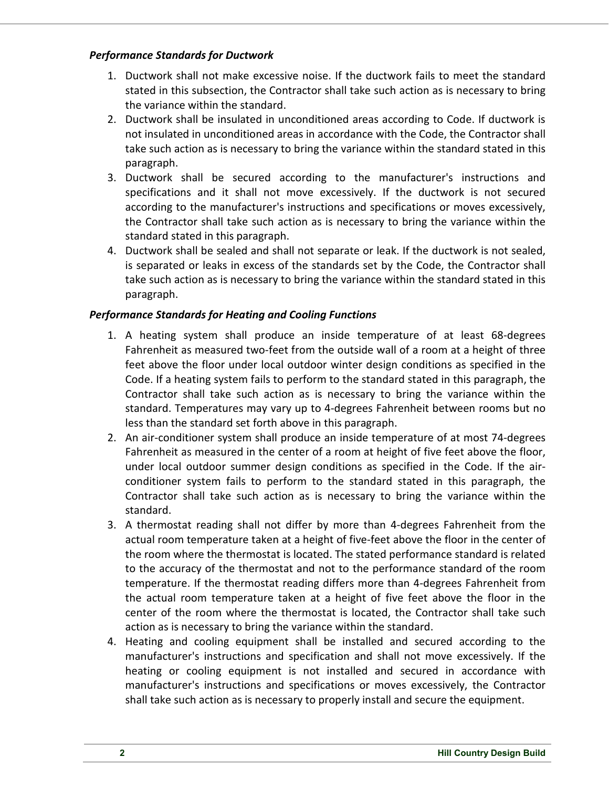## *Performance Standards for Ductwork*

- 1. Ductwork shall not make excessive noise. If the ductwork fails to meet the standard stated in this subsection, the Contractor shall take such action as is necessary to bring the variance within the standard.
- 2. Ductwork shall be insulated in unconditioned areas according to Code. If ductwork is not insulated in unconditioned areas in accordance with the Code, the Contractor shall take such action as is necessary to bring the variance within the standard stated in this paragraph.
- 3. Ductwork shall be secured according to the manufacturer's instructions and specifications and it shall not move excessively. If the ductwork is not secured according to the manufacturer's instructions and specifications or moves excessively, the Contractor shall take such action as is necessary to bring the variance within the standard stated in this paragraph.
- 4. Ductwork shall be sealed and shall not separate or leak. If the ductwork is not sealed, is separated or leaks in excess of the standards set by the Code, the Contractor shall take such action as is necessary to bring the variance within the standard stated in this paragraph.

## *Performance Standards for Heating and Cooling Functions*

- 1. A heating system shall produce an inside temperature of at least 68-degrees Fahrenheit as measured two-feet from the outside wall of a room at a height of three feet above the floor under local outdoor winter design conditions as specified in the Code. If a heating system fails to perform to the standard stated in this paragraph, the Contractor shall take such action as is necessary to bring the variance within the standard. Temperatures may vary up to 4-degrees Fahrenheit between rooms but no less than the standard set forth above in this paragraph.
- 2. An air-conditioner system shall produce an inside temperature of at most 74-degrees Fahrenheit as measured in the center of a room at height of five feet above the floor, under local outdoor summer design conditions as specified in the Code. If the airconditioner system fails to perform to the standard stated in this paragraph, the Contractor shall take such action as is necessary to bring the variance within the standard.
- 3. A thermostat reading shall not differ by more than 4-degrees Fahrenheit from the actual room temperature taken at a height of five-feet above the floor in the center of the room where the thermostat is located. The stated performance standard is related to the accuracy of the thermostat and not to the performance standard of the room temperature. If the thermostat reading differs more than 4-degrees Fahrenheit from the actual room temperature taken at a height of five feet above the floor in the center of the room where the thermostat is located, the Contractor shall take such action as is necessary to bring the variance within the standard.
- 4. Heating and cooling equipment shall be installed and secured according to the manufacturer's instructions and specification and shall not move excessively. If the heating or cooling equipment is not installed and secured in accordance with manufacturer's instructions and specifications or moves excessively, the Contractor shall take such action as is necessary to properly install and secure the equipment.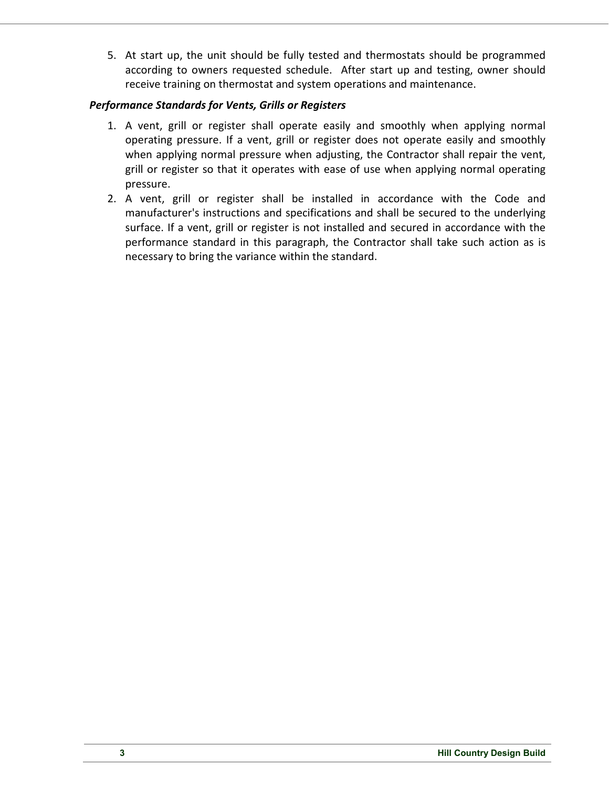5. At start up, the unit should be fully tested and thermostats should be programmed according to owners requested schedule. After start up and testing, owner should receive training on thermostat and system operations and maintenance.

## *Performance Standards for Vents, Grills or Registers*

- 1. A vent, grill or register shall operate easily and smoothly when applying normal operating pressure. If a vent, grill or register does not operate easily and smoothly when applying normal pressure when adjusting, the Contractor shall repair the vent, grill or register so that it operates with ease of use when applying normal operating pressure.
- 2. A vent, grill or register shall be installed in accordance with the Code and manufacturer's instructions and specifications and shall be secured to the underlying surface. If a vent, grill or register is not installed and secured in accordance with the performance standard in this paragraph, the Contractor shall take such action as is necessary to bring the variance within the standard.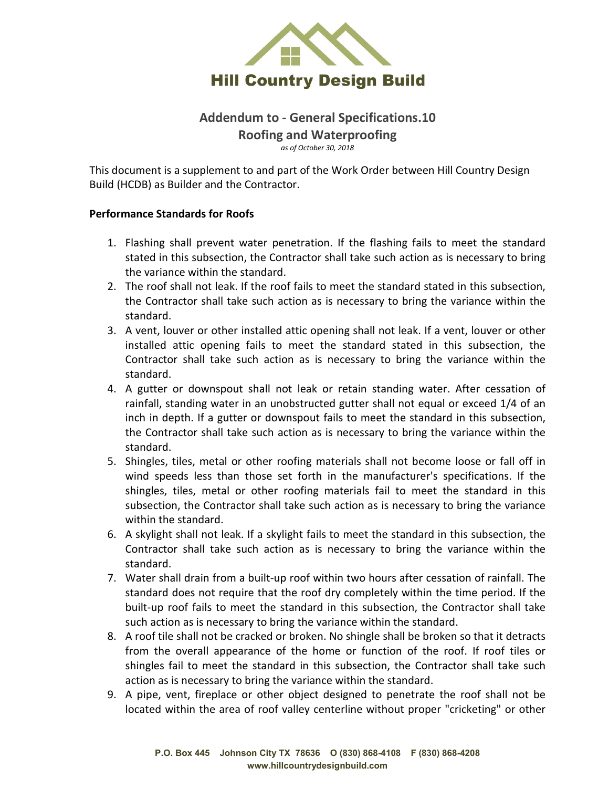

## **Addendum to - General Specifications.10 Roofing and Waterproofing** *as of October 30, 2018*

This document is a supplement to and part of the Work Order between Hill Country Design Build (HCDB) as Builder and the Contractor.

#### **Performance Standards for Roofs**

- 1. Flashing shall prevent water penetration. If the flashing fails to meet the standard stated in this subsection, the Contractor shall take such action as is necessary to bring the variance within the standard.
- 2. The roof shall not leak. If the roof fails to meet the standard stated in this subsection, the Contractor shall take such action as is necessary to bring the variance within the standard.
- 3. A vent, louver or other installed attic opening shall not leak. If a vent, louver or other installed attic opening fails to meet the standard stated in this subsection, the Contractor shall take such action as is necessary to bring the variance within the standard.
- 4. A gutter or downspout shall not leak or retain standing water. After cessation of rainfall, standing water in an unobstructed gutter shall not equal or exceed 1/4 of an inch in depth. If a gutter or downspout fails to meet the standard in this subsection, the Contractor shall take such action as is necessary to bring the variance within the standard.
- 5. Shingles, tiles, metal or other roofing materials shall not become loose or fall off in wind speeds less than those set forth in the manufacturer's specifications. If the shingles, tiles, metal or other roofing materials fail to meet the standard in this subsection, the Contractor shall take such action as is necessary to bring the variance within the standard.
- 6. A skylight shall not leak. If a skylight fails to meet the standard in this subsection, the Contractor shall take such action as is necessary to bring the variance within the standard.
- 7. Water shall drain from a built-up roof within two hours after cessation of rainfall. The standard does not require that the roof dry completely within the time period. If the built-up roof fails to meet the standard in this subsection, the Contractor shall take such action as is necessary to bring the variance within the standard.
- 8. A roof tile shall not be cracked or broken. No shingle shall be broken so that it detracts from the overall appearance of the home or function of the roof. If roof tiles or shingles fail to meet the standard in this subsection, the Contractor shall take such action as is necessary to bring the variance within the standard.
- 9. A pipe, vent, fireplace or other object designed to penetrate the roof shall not be located within the area of roof valley centerline without proper "cricketing" or other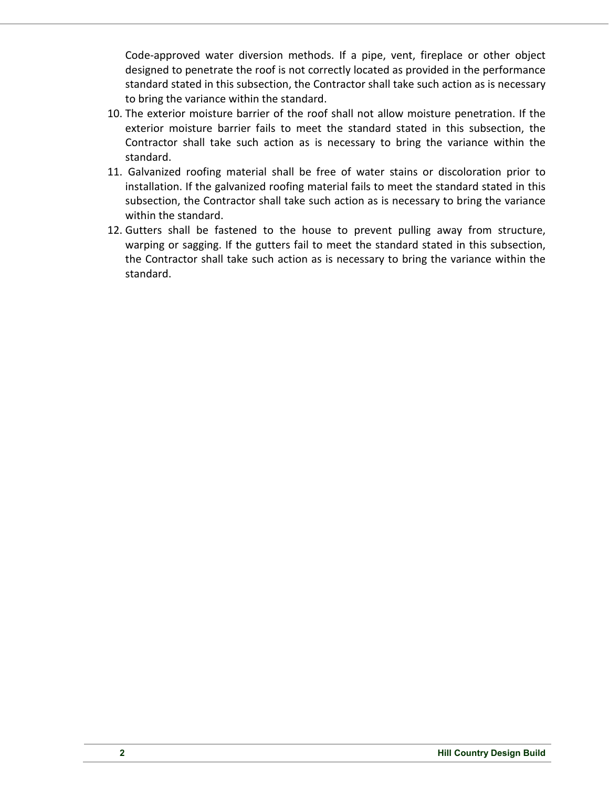Code-approved water diversion methods. If a pipe, vent, fireplace or other object designed to penetrate the roof is not correctly located as provided in the performance standard stated in this subsection, the Contractor shall take such action as is necessary to bring the variance within the standard.

- 10. The exterior moisture barrier of the roof shall not allow moisture penetration. If the exterior moisture barrier fails to meet the standard stated in this subsection, the Contractor shall take such action as is necessary to bring the variance within the standard.
- 11. Galvanized roofing material shall be free of water stains or discoloration prior to installation. If the galvanized roofing material fails to meet the standard stated in this subsection, the Contractor shall take such action as is necessary to bring the variance within the standard.
- 12. Gutters shall be fastened to the house to prevent pulling away from structure, warping or sagging. If the gutters fail to meet the standard stated in this subsection, the Contractor shall take such action as is necessary to bring the variance within the standard.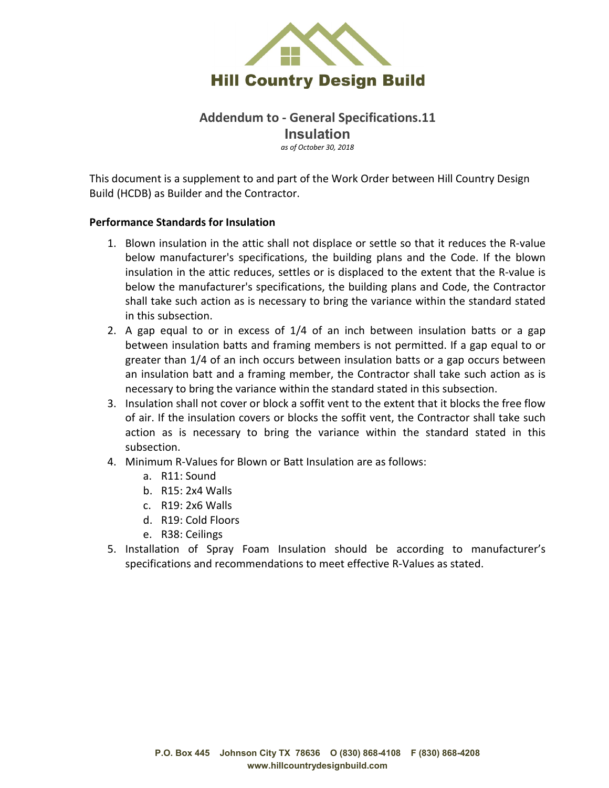

# **Addendum to - General Specifications.11 Insulation**

*as of October 30, 2018*

This document is a supplement to and part of the Work Order between Hill Country Design Build (HCDB) as Builder and the Contractor.

#### **Performance Standards for Insulation**

- 1. Blown insulation in the attic shall not displace or settle so that it reduces the R-value below manufacturer's specifications, the building plans and the Code. If the blown insulation in the attic reduces, settles or is displaced to the extent that the R-value is below the manufacturer's specifications, the building plans and Code, the Contractor shall take such action as is necessary to bring the variance within the standard stated in this subsection.
- 2. A gap equal to or in excess of 1/4 of an inch between insulation batts or a gap between insulation batts and framing members is not permitted. If a gap equal to or greater than 1/4 of an inch occurs between insulation batts or a gap occurs between an insulation batt and a framing member, the Contractor shall take such action as is necessary to bring the variance within the standard stated in this subsection.
- 3. Insulation shall not cover or block a soffit vent to the extent that it blocks the free flow of air. If the insulation covers or blocks the soffit vent, the Contractor shall take such action as is necessary to bring the variance within the standard stated in this subsection.
- 4. Minimum R-Values for Blown or Batt Insulation are as follows:
	- a. R11: Sound
	- b. R15: 2x4 Walls
	- c. R19: 2x6 Walls
	- d. R19: Cold Floors
	- e. R38: Ceilings
- 5. Installation of Spray Foam Insulation should be according to manufacturer's specifications and recommendations to meet effective R-Values as stated.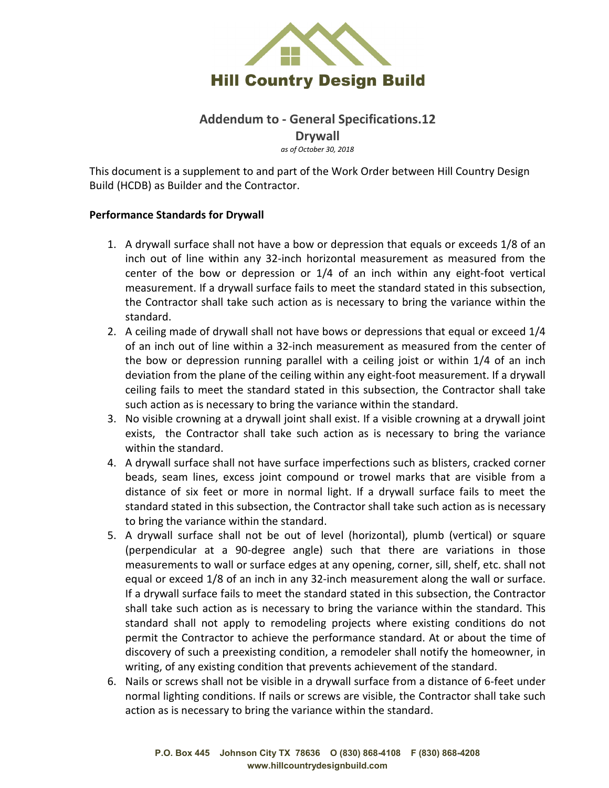

# **Addendum to - General Specifications.12 Drywall**

*as of October 30, 2018*

This document is a supplement to and part of the Work Order between Hill Country Design Build (HCDB) as Builder and the Contractor.

#### **Performance Standards for Drywall**

- 1. A drywall surface shall not have a bow or depression that equals or exceeds 1/8 of an inch out of line within any 32-inch horizontal measurement as measured from the center of the bow or depression or 1/4 of an inch within any eight-foot vertical measurement. If a drywall surface fails to meet the standard stated in this subsection, the Contractor shall take such action as is necessary to bring the variance within the standard.
- 2. A ceiling made of drywall shall not have bows or depressions that equal or exceed 1/4 of an inch out of line within a 32-inch measurement as measured from the center of the bow or depression running parallel with a ceiling joist or within 1/4 of an inch deviation from the plane of the ceiling within any eight-foot measurement. If a drywall ceiling fails to meet the standard stated in this subsection, the Contractor shall take such action as is necessary to bring the variance within the standard.
- 3. No visible crowning at a drywall joint shall exist. If a visible crowning at a drywall joint exists, the Contractor shall take such action as is necessary to bring the variance within the standard.
- 4. A drywall surface shall not have surface imperfections such as blisters, cracked corner beads, seam lines, excess joint compound or trowel marks that are visible from a distance of six feet or more in normal light. If a drywall surface fails to meet the standard stated in this subsection, the Contractor shall take such action as is necessary to bring the variance within the standard.
- 5. A drywall surface shall not be out of level (horizontal), plumb (vertical) or square (perpendicular at a 90-degree angle) such that there are variations in those measurements to wall or surface edges at any opening, corner, sill, shelf, etc. shall not equal or exceed 1/8 of an inch in any 32-inch measurement along the wall or surface. If a drywall surface fails to meet the standard stated in this subsection, the Contractor shall take such action as is necessary to bring the variance within the standard. This standard shall not apply to remodeling projects where existing conditions do not permit the Contractor to achieve the performance standard. At or about the time of discovery of such a preexisting condition, a remodeler shall notify the homeowner, in writing, of any existing condition that prevents achievement of the standard.
- 6. Nails or screws shall not be visible in a drywall surface from a distance of 6-feet under normal lighting conditions. If nails or screws are visible, the Contractor shall take such action as is necessary to bring the variance within the standard.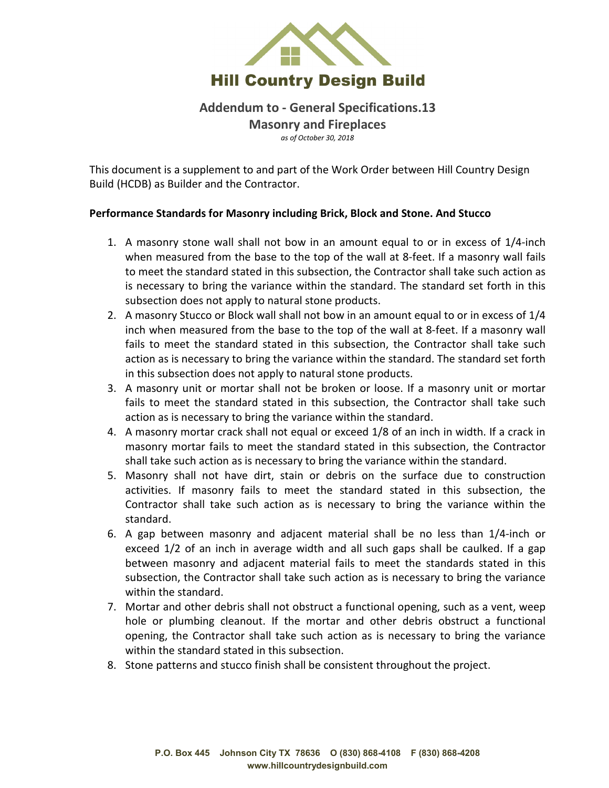

## **Addendum to - General Specifications.13**

**Masonry and Fireplaces** *as of October 30, 2018*

This document is a supplement to and part of the Work Order between Hill Country Design Build (HCDB) as Builder and the Contractor.

## **Performance Standards for Masonry including Brick, Block and Stone. And Stucco**

- 1. A masonry stone wall shall not bow in an amount equal to or in excess of 1/4-inch when measured from the base to the top of the wall at 8-feet. If a masonry wall fails to meet the standard stated in this subsection, the Contractor shall take such action as is necessary to bring the variance within the standard. The standard set forth in this subsection does not apply to natural stone products.
- 2. A masonry Stucco or Block wall shall not bow in an amount equal to or in excess of 1/4 inch when measured from the base to the top of the wall at 8-feet. If a masonry wall fails to meet the standard stated in this subsection, the Contractor shall take such action as is necessary to bring the variance within the standard. The standard set forth in this subsection does not apply to natural stone products.
- 3. A masonry unit or mortar shall not be broken or loose. If a masonry unit or mortar fails to meet the standard stated in this subsection, the Contractor shall take such action as is necessary to bring the variance within the standard.
- 4. A masonry mortar crack shall not equal or exceed 1/8 of an inch in width. If a crack in masonry mortar fails to meet the standard stated in this subsection, the Contractor shall take such action as is necessary to bring the variance within the standard.
- 5. Masonry shall not have dirt, stain or debris on the surface due to construction activities. If masonry fails to meet the standard stated in this subsection, the Contractor shall take such action as is necessary to bring the variance within the standard.
- 6. A gap between masonry and adjacent material shall be no less than 1/4-inch or exceed 1/2 of an inch in average width and all such gaps shall be caulked. If a gap between masonry and adjacent material fails to meet the standards stated in this subsection, the Contractor shall take such action as is necessary to bring the variance within the standard.
- 7. Mortar and other debris shall not obstruct a functional opening, such as a vent, weep hole or plumbing cleanout. If the mortar and other debris obstruct a functional opening, the Contractor shall take such action as is necessary to bring the variance within the standard stated in this subsection.
- 8. Stone patterns and stucco finish shall be consistent throughout the project.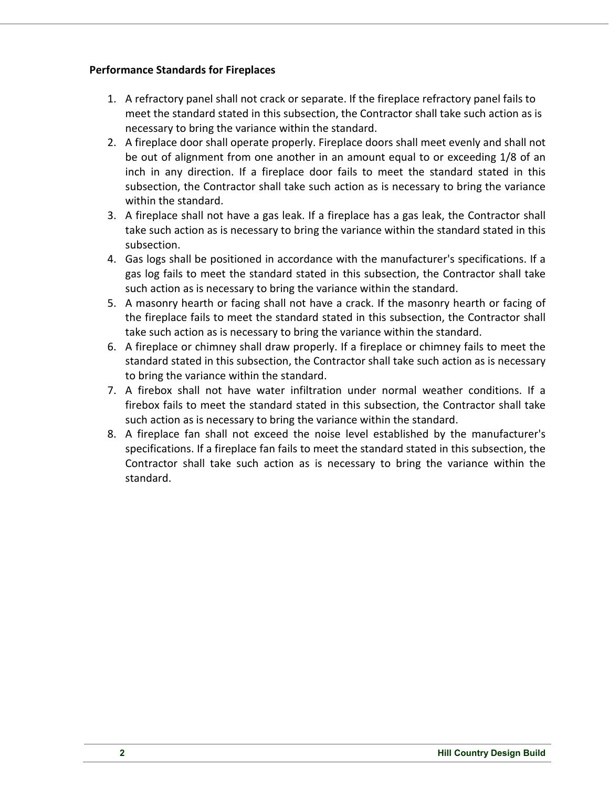## **Performance Standards for Fireplaces**

- 1. A refractory panel shall not crack or separate. If the fireplace refractory panel fails to meet the standard stated in this subsection, the Contractor shall take such action as is necessary to bring the variance within the standard.
- 2. A fireplace door shall operate properly. Fireplace doors shall meet evenly and shall not be out of alignment from one another in an amount equal to or exceeding 1/8 of an inch in any direction. If a fireplace door fails to meet the standard stated in this subsection, the Contractor shall take such action as is necessary to bring the variance within the standard.
- 3. A fireplace shall not have a gas leak. If a fireplace has a gas leak, the Contractor shall take such action as is necessary to bring the variance within the standard stated in this subsection.
- 4. Gas logs shall be positioned in accordance with the manufacturer's specifications. If a gas log fails to meet the standard stated in this subsection, the Contractor shall take such action as is necessary to bring the variance within the standard.
- 5. A masonry hearth or facing shall not have a crack. If the masonry hearth or facing of the fireplace fails to meet the standard stated in this subsection, the Contractor shall take such action as is necessary to bring the variance within the standard.
- 6. A fireplace or chimney shall draw properly. If a fireplace or chimney fails to meet the standard stated in this subsection, the Contractor shall take such action as is necessary to bring the variance within the standard.
- 7. A firebox shall not have water infiltration under normal weather conditions. If a firebox fails to meet the standard stated in this subsection, the Contractor shall take such action as is necessary to bring the variance within the standard.
- 8. A fireplace fan shall not exceed the noise level established by the manufacturer's specifications. If a fireplace fan fails to meet the standard stated in this subsection, the Contractor shall take such action as is necessary to bring the variance within the standard.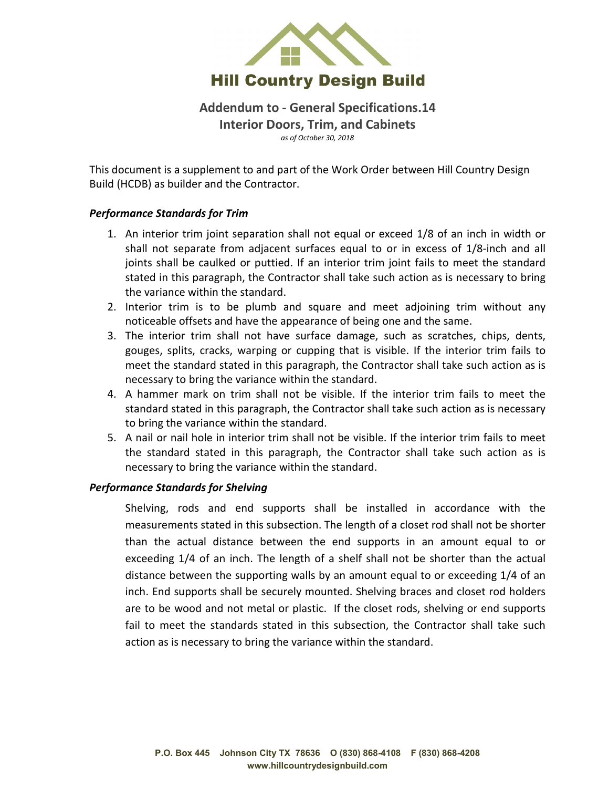

**Addendum to - General Specifications.14 Interior Doors, Trim, and Cabinets** *as of October 30, 2018*

This document is a supplement to and part of the Work Order between Hill Country Design Build (HCDB) as builder and the Contractor.

#### *Performance Standards for Trim*

- 1. An interior trim joint separation shall not equal or exceed 1/8 of an inch in width or shall not separate from adjacent surfaces equal to or in excess of 1/8-inch and all joints shall be caulked or puttied. If an interior trim joint fails to meet the standard stated in this paragraph, the Contractor shall take such action as is necessary to bring the variance within the standard.
- 2. Interior trim is to be plumb and square and meet adjoining trim without any noticeable offsets and have the appearance of being one and the same.
- 3. The interior trim shall not have surface damage, such as scratches, chips, dents, gouges, splits, cracks, warping or cupping that is visible. If the interior trim fails to meet the standard stated in this paragraph, the Contractor shall take such action as is necessary to bring the variance within the standard.
- 4. A hammer mark on trim shall not be visible. If the interior trim fails to meet the standard stated in this paragraph, the Contractor shall take such action as is necessary to bring the variance within the standard.
- 5. A nail or nail hole in interior trim shall not be visible. If the interior trim fails to meet the standard stated in this paragraph, the Contractor shall take such action as is necessary to bring the variance within the standard.

#### *Performance Standards for Shelving*

Shelving, rods and end supports shall be installed in accordance with the measurements stated in this subsection. The length of a closet rod shall not be shorter than the actual distance between the end supports in an amount equal to or exceeding 1/4 of an inch. The length of a shelf shall not be shorter than the actual distance between the supporting walls by an amount equal to or exceeding 1/4 of an inch. End supports shall be securely mounted. Shelving braces and closet rod holders are to be wood and not metal or plastic. If the closet rods, shelving or end supports fail to meet the standards stated in this subsection, the Contractor shall take such action as is necessary to bring the variance within the standard.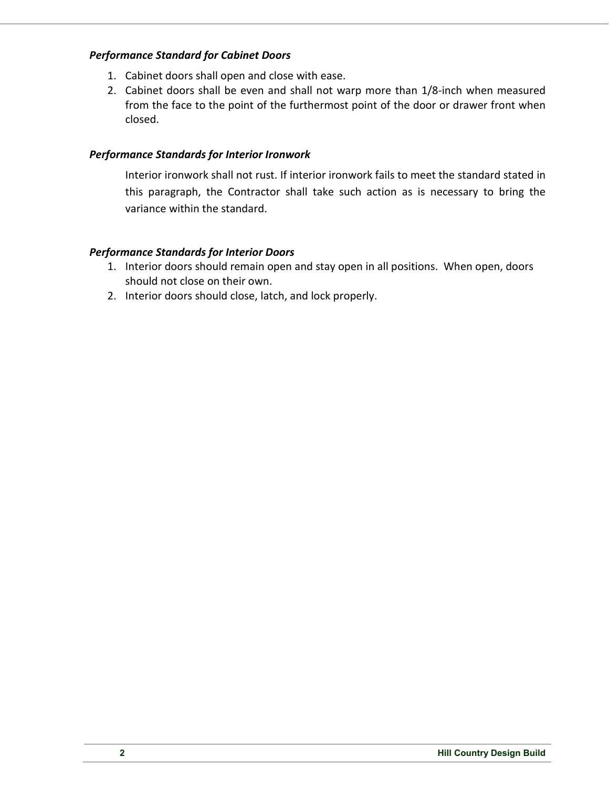## *Performance Standard for Cabinet Doors*

- 1. Cabinet doors shall open and close with ease.
- 2. Cabinet doors shall be even and shall not warp more than 1/8-inch when measured from the face to the point of the furthermost point of the door or drawer front when closed.

## *Performance Standards for Interior Ironwork*

Interior ironwork shall not rust. If interior ironwork fails to meet the standard stated in this paragraph, the Contractor shall take such action as is necessary to bring the variance within the standard.

## *Performance Standards for Interior Doors*

- 1. Interior doors should remain open and stay open in all positions. When open, doors should not close on their own.
- 2. Interior doors should close, latch, and lock properly.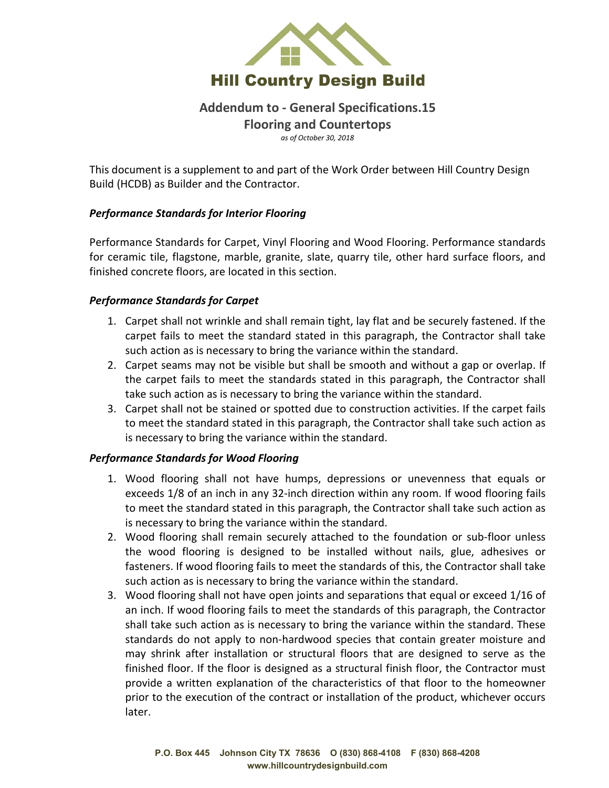

## **Addendum to - General Specifications.15**

**Flooring and Countertops**

*as of October 30, 2018*

This document is a supplement to and part of the Work Order between Hill Country Design Build (HCDB) as Builder and the Contractor.

## *Performance Standards for Interior Flooring*

Performance Standards for Carpet, Vinyl Flooring and Wood Flooring. Performance standards for ceramic tile, flagstone, marble, granite, slate, quarry tile, other hard surface floors, and finished concrete floors, are located in this section.

## *Performance Standards for Carpet*

- 1. Carpet shall not wrinkle and shall remain tight, lay flat and be securely fastened. If the carpet fails to meet the standard stated in this paragraph, the Contractor shall take such action as is necessary to bring the variance within the standard.
- 2. Carpet seams may not be visible but shall be smooth and without a gap or overlap. If the carpet fails to meet the standards stated in this paragraph, the Contractor shall take such action as is necessary to bring the variance within the standard.
- 3. Carpet shall not be stained or spotted due to construction activities. If the carpet fails to meet the standard stated in this paragraph, the Contractor shall take such action as is necessary to bring the variance within the standard.

## *Performance Standards for Wood Flooring*

- 1. Wood flooring shall not have humps, depressions or unevenness that equals or exceeds 1/8 of an inch in any 32-inch direction within any room. If wood flooring fails to meet the standard stated in this paragraph, the Contractor shall take such action as is necessary to bring the variance within the standard.
- 2. Wood flooring shall remain securely attached to the foundation or sub-floor unless the wood flooring is designed to be installed without nails, glue, adhesives or fasteners. If wood flooring fails to meet the standards of this, the Contractor shall take such action as is necessary to bring the variance within the standard.
- 3. Wood flooring shall not have open joints and separations that equal or exceed 1/16 of an inch. If wood flooring fails to meet the standards of this paragraph, the Contractor shall take such action as is necessary to bring the variance within the standard. These standards do not apply to non-hardwood species that contain greater moisture and may shrink after installation or structural floors that are designed to serve as the finished floor. If the floor is designed as a structural finish floor, the Contractor must provide a written explanation of the characteristics of that floor to the homeowner prior to the execution of the contract or installation of the product, whichever occurs later.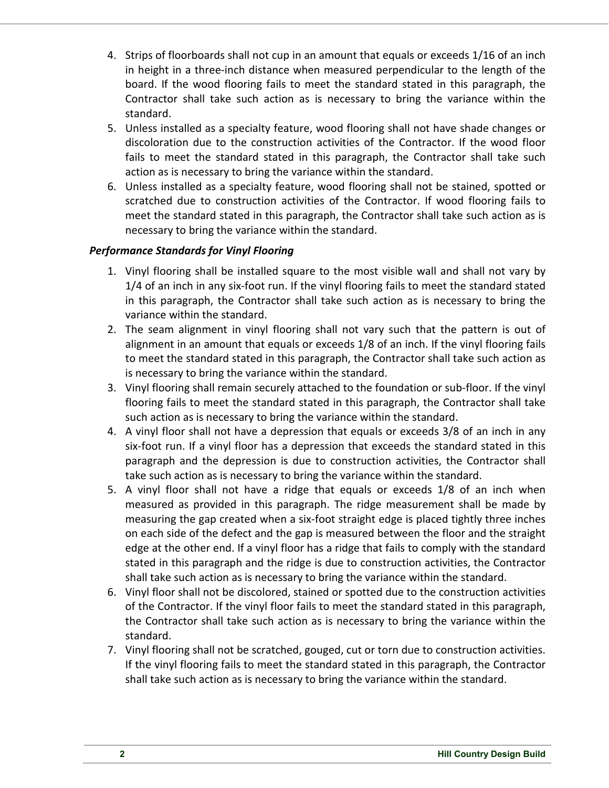- 4. Strips of floorboards shall not cup in an amount that equals or exceeds 1/16 of an inch in height in a three-inch distance when measured perpendicular to the length of the board. If the wood flooring fails to meet the standard stated in this paragraph, the Contractor shall take such action as is necessary to bring the variance within the standard.
- 5. Unless installed as a specialty feature, wood flooring shall not have shade changes or discoloration due to the construction activities of the Contractor. If the wood floor fails to meet the standard stated in this paragraph, the Contractor shall take such action as is necessary to bring the variance within the standard.
- 6. Unless installed as a specialty feature, wood flooring shall not be stained, spotted or scratched due to construction activities of the Contractor. If wood flooring fails to meet the standard stated in this paragraph, the Contractor shall take such action as is necessary to bring the variance within the standard.

## *Performance Standards for Vinyl Flooring*

- 1. Vinyl flooring shall be installed square to the most visible wall and shall not vary by 1/4 of an inch in any six-foot run. If the vinyl flooring fails to meet the standard stated in this paragraph, the Contractor shall take such action as is necessary to bring the variance within the standard.
- 2. The seam alignment in vinyl flooring shall not vary such that the pattern is out of alignment in an amount that equals or exceeds 1/8 of an inch. If the vinyl flooring fails to meet the standard stated in this paragraph, the Contractor shall take such action as is necessary to bring the variance within the standard.
- 3. Vinyl flooring shall remain securely attached to the foundation or sub-floor. If the vinyl flooring fails to meet the standard stated in this paragraph, the Contractor shall take such action as is necessary to bring the variance within the standard.
- 4. A vinyl floor shall not have a depression that equals or exceeds 3/8 of an inch in any six-foot run. If a vinyl floor has a depression that exceeds the standard stated in this paragraph and the depression is due to construction activities, the Contractor shall take such action as is necessary to bring the variance within the standard.
- 5. A vinyl floor shall not have a ridge that equals or exceeds 1/8 of an inch when measured as provided in this paragraph. The ridge measurement shall be made by measuring the gap created when a six-foot straight edge is placed tightly three inches on each side of the defect and the gap is measured between the floor and the straight edge at the other end. If a vinyl floor has a ridge that fails to comply with the standard stated in this paragraph and the ridge is due to construction activities, the Contractor shall take such action as is necessary to bring the variance within the standard.
- 6. Vinyl floor shall not be discolored, stained or spotted due to the construction activities of the Contractor. If the vinyl floor fails to meet the standard stated in this paragraph, the Contractor shall take such action as is necessary to bring the variance within the standard.
- 7. Vinyl flooring shall not be scratched, gouged, cut or torn due to construction activities. If the vinyl flooring fails to meet the standard stated in this paragraph, the Contractor shall take such action as is necessary to bring the variance within the standard.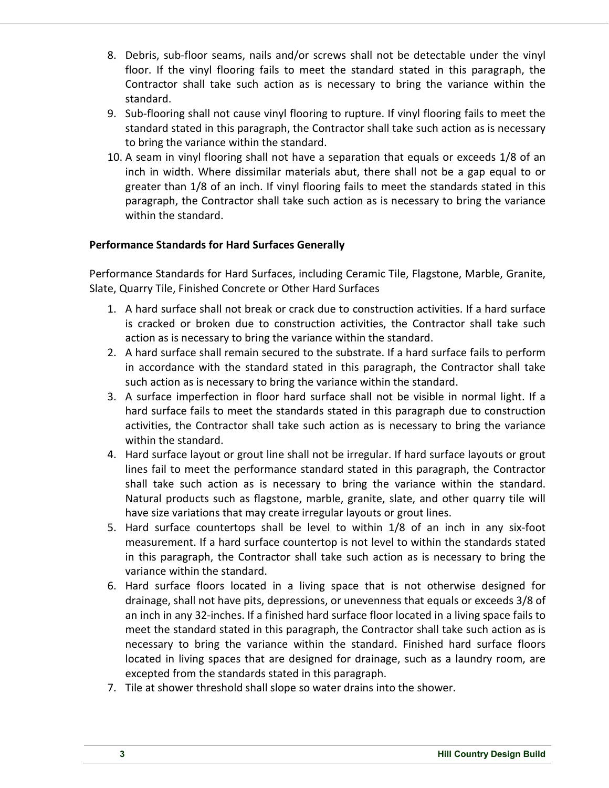- 8. Debris, sub-floor seams, nails and/or screws shall not be detectable under the vinyl floor. If the vinyl flooring fails to meet the standard stated in this paragraph, the Contractor shall take such action as is necessary to bring the variance within the standard.
- 9. Sub-flooring shall not cause vinyl flooring to rupture. If vinyl flooring fails to meet the standard stated in this paragraph, the Contractor shall take such action as is necessary to bring the variance within the standard.
- 10. A seam in vinyl flooring shall not have a separation that equals or exceeds 1/8 of an inch in width. Where dissimilar materials abut, there shall not be a gap equal to or greater than 1/8 of an inch. If vinyl flooring fails to meet the standards stated in this paragraph, the Contractor shall take such action as is necessary to bring the variance within the standard.

## **Performance Standards for Hard Surfaces Generally**

Performance Standards for Hard Surfaces, including Ceramic Tile, Flagstone, Marble, Granite, Slate, Quarry Tile, Finished Concrete or Other Hard Surfaces

- 1. A hard surface shall not break or crack due to construction activities. If a hard surface is cracked or broken due to construction activities, the Contractor shall take such action as is necessary to bring the variance within the standard.
- 2. A hard surface shall remain secured to the substrate. If a hard surface fails to perform in accordance with the standard stated in this paragraph, the Contractor shall take such action as is necessary to bring the variance within the standard.
- 3. A surface imperfection in floor hard surface shall not be visible in normal light. If a hard surface fails to meet the standards stated in this paragraph due to construction activities, the Contractor shall take such action as is necessary to bring the variance within the standard.
- 4. Hard surface layout or grout line shall not be irregular. If hard surface layouts or grout lines fail to meet the performance standard stated in this paragraph, the Contractor shall take such action as is necessary to bring the variance within the standard. Natural products such as flagstone, marble, granite, slate, and other quarry tile will have size variations that may create irregular layouts or grout lines.
- 5. Hard surface countertops shall be level to within 1/8 of an inch in any six-foot measurement. If a hard surface countertop is not level to within the standards stated in this paragraph, the Contractor shall take such action as is necessary to bring the variance within the standard.
- 6. Hard surface floors located in a living space that is not otherwise designed for drainage, shall not have pits, depressions, or unevenness that equals or exceeds 3/8 of an inch in any 32-inches. If a finished hard surface floor located in a living space fails to meet the standard stated in this paragraph, the Contractor shall take such action as is necessary to bring the variance within the standard. Finished hard surface floors located in living spaces that are designed for drainage, such as a laundry room, are excepted from the standards stated in this paragraph.
- 7. Tile at shower threshold shall slope so water drains into the shower.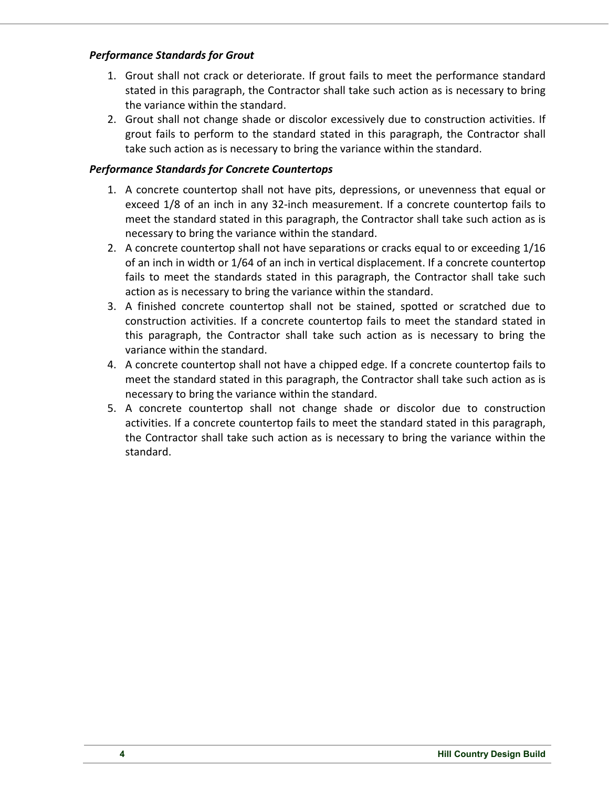## *Performance Standards for Grout*

- 1. Grout shall not crack or deteriorate. If grout fails to meet the performance standard stated in this paragraph, the Contractor shall take such action as is necessary to bring the variance within the standard.
- 2. Grout shall not change shade or discolor excessively due to construction activities. If grout fails to perform to the standard stated in this paragraph, the Contractor shall take such action as is necessary to bring the variance within the standard.

## *Performance Standards for Concrete Countertops*

- 1. A concrete countertop shall not have pits, depressions, or unevenness that equal or exceed 1/8 of an inch in any 32-inch measurement. If a concrete countertop fails to meet the standard stated in this paragraph, the Contractor shall take such action as is necessary to bring the variance within the standard.
- 2. A concrete countertop shall not have separations or cracks equal to or exceeding 1/16 of an inch in width or 1/64 of an inch in vertical displacement. If a concrete countertop fails to meet the standards stated in this paragraph, the Contractor shall take such action as is necessary to bring the variance within the standard.
- 3. A finished concrete countertop shall not be stained, spotted or scratched due to construction activities. If a concrete countertop fails to meet the standard stated in this paragraph, the Contractor shall take such action as is necessary to bring the variance within the standard.
- 4. A concrete countertop shall not have a chipped edge. If a concrete countertop fails to meet the standard stated in this paragraph, the Contractor shall take such action as is necessary to bring the variance within the standard.
- 5. A concrete countertop shall not change shade or discolor due to construction activities. If a concrete countertop fails to meet the standard stated in this paragraph, the Contractor shall take such action as is necessary to bring the variance within the standard.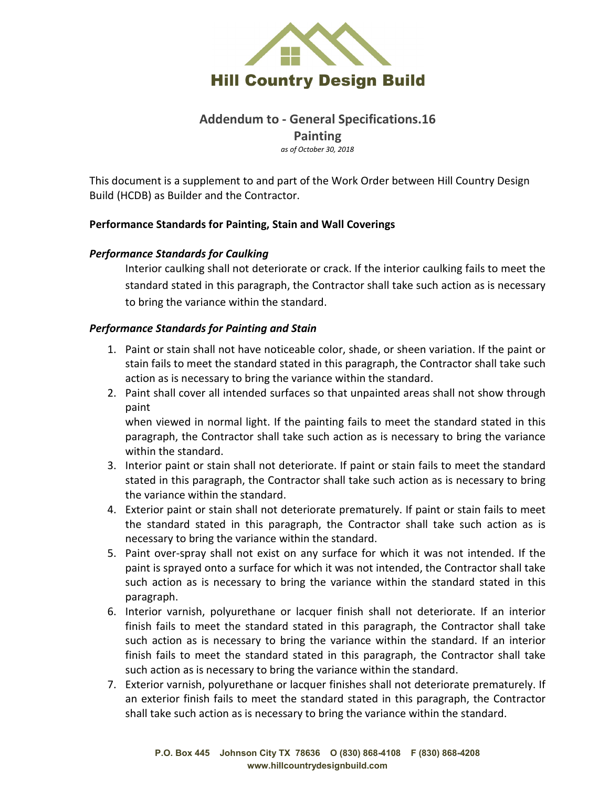

# **Addendum to - General Specifications.16 Painting**

*as of October 30, 2018*

This document is a supplement to and part of the Work Order between Hill Country Design Build (HCDB) as Builder and the Contractor.

## **Performance Standards for Painting, Stain and Wall Coverings**

## *Performance Standards for Caulking*

Interior caulking shall not deteriorate or crack. If the interior caulking fails to meet the standard stated in this paragraph, the Contractor shall take such action as is necessary to bring the variance within the standard.

## *Performance Standards for Painting and Stain*

- 1. Paint or stain shall not have noticeable color, shade, or sheen variation. If the paint or stain fails to meet the standard stated in this paragraph, the Contractor shall take such action as is necessary to bring the variance within the standard.
- 2. Paint shall cover all intended surfaces so that unpainted areas shall not show through paint

when viewed in normal light. If the painting fails to meet the standard stated in this paragraph, the Contractor shall take such action as is necessary to bring the variance within the standard.

- 3. Interior paint or stain shall not deteriorate. If paint or stain fails to meet the standard stated in this paragraph, the Contractor shall take such action as is necessary to bring the variance within the standard.
- 4. Exterior paint or stain shall not deteriorate prematurely. If paint or stain fails to meet the standard stated in this paragraph, the Contractor shall take such action as is necessary to bring the variance within the standard.
- 5. Paint over-spray shall not exist on any surface for which it was not intended. If the paint is sprayed onto a surface for which it was not intended, the Contractor shall take such action as is necessary to bring the variance within the standard stated in this paragraph.
- 6. Interior varnish, polyurethane or lacquer finish shall not deteriorate. If an interior finish fails to meet the standard stated in this paragraph, the Contractor shall take such action as is necessary to bring the variance within the standard. If an interior finish fails to meet the standard stated in this paragraph, the Contractor shall take such action as is necessary to bring the variance within the standard.
- 7. Exterior varnish, polyurethane or lacquer finishes shall not deteriorate prematurely. If an exterior finish fails to meet the standard stated in this paragraph, the Contractor shall take such action as is necessary to bring the variance within the standard.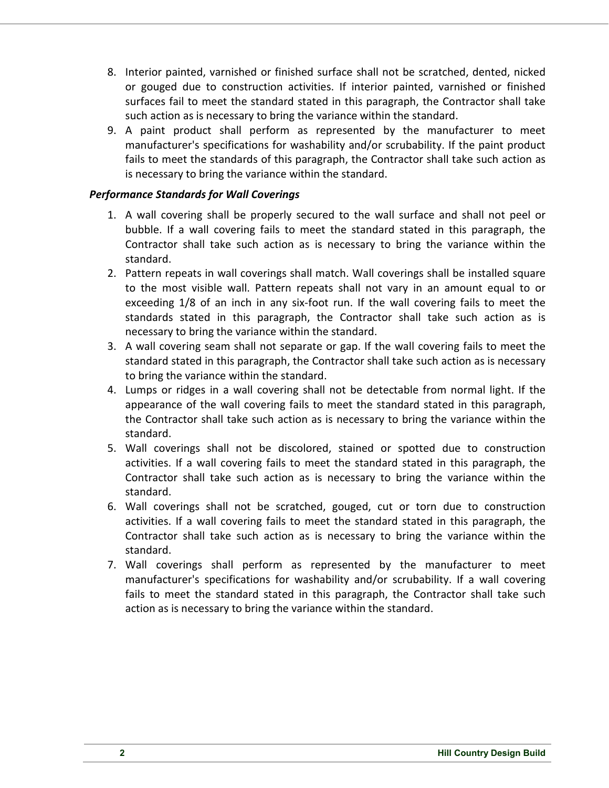- 8. Interior painted, varnished or finished surface shall not be scratched, dented, nicked or gouged due to construction activities. If interior painted, varnished or finished surfaces fail to meet the standard stated in this paragraph, the Contractor shall take such action as is necessary to bring the variance within the standard.
- 9. A paint product shall perform as represented by the manufacturer to meet manufacturer's specifications for washability and/or scrubability. If the paint product fails to meet the standards of this paragraph, the Contractor shall take such action as is necessary to bring the variance within the standard.

## *Performance Standards for Wall Coverings*

- 1. A wall covering shall be properly secured to the wall surface and shall not peel or bubble. If a wall covering fails to meet the standard stated in this paragraph, the Contractor shall take such action as is necessary to bring the variance within the standard.
- 2. Pattern repeats in wall coverings shall match. Wall coverings shall be installed square to the most visible wall. Pattern repeats shall not vary in an amount equal to or exceeding 1/8 of an inch in any six-foot run. If the wall covering fails to meet the standards stated in this paragraph, the Contractor shall take such action as is necessary to bring the variance within the standard.
- 3. A wall covering seam shall not separate or gap. If the wall covering fails to meet the standard stated in this paragraph, the Contractor shall take such action as is necessary to bring the variance within the standard.
- 4. Lumps or ridges in a wall covering shall not be detectable from normal light. If the appearance of the wall covering fails to meet the standard stated in this paragraph, the Contractor shall take such action as is necessary to bring the variance within the standard.
- 5. Wall coverings shall not be discolored, stained or spotted due to construction activities. If a wall covering fails to meet the standard stated in this paragraph, the Contractor shall take such action as is necessary to bring the variance within the standard.
- 6. Wall coverings shall not be scratched, gouged, cut or torn due to construction activities. If a wall covering fails to meet the standard stated in this paragraph, the Contractor shall take such action as is necessary to bring the variance within the standard.
- 7. Wall coverings shall perform as represented by the manufacturer to meet manufacturer's specifications for washability and/or scrubability. If a wall covering fails to meet the standard stated in this paragraph, the Contractor shall take such action as is necessary to bring the variance within the standard.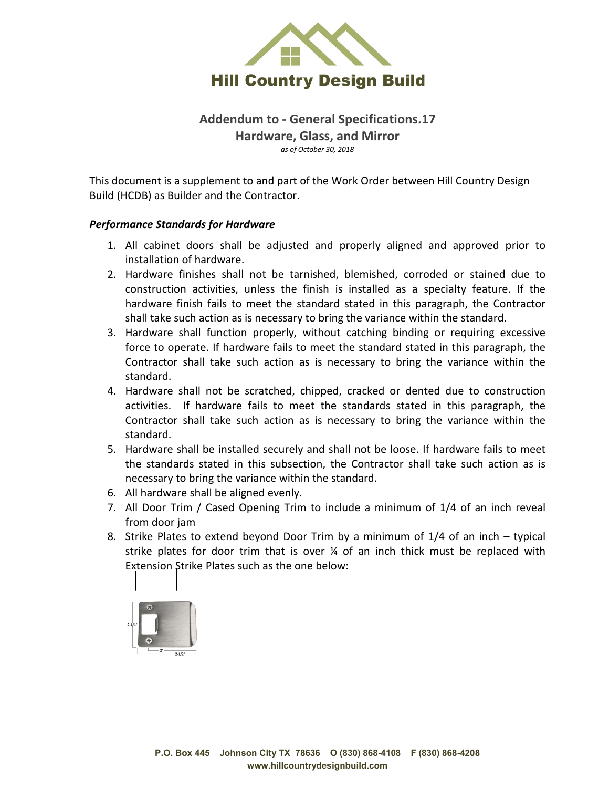

# **Addendum to - General Specifications.17 Hardware, Glass, and Mirror** *as of October 30, 2018*

This document is a supplement to and part of the Work Order between Hill Country Design Build (HCDB) as Builder and the Contractor.

#### *Performance Standards for Hardware*

- 1. All cabinet doors shall be adjusted and properly aligned and approved prior to installation of hardware.
- 2. Hardware finishes shall not be tarnished, blemished, corroded or stained due to construction activities, unless the finish is installed as a specialty feature. If the hardware finish fails to meet the standard stated in this paragraph, the Contractor shall take such action as is necessary to bring the variance within the standard.
- 3. Hardware shall function properly, without catching binding or requiring excessive force to operate. If hardware fails to meet the standard stated in this paragraph, the Contractor shall take such action as is necessary to bring the variance within the standard.
- 4. Hardware shall not be scratched, chipped, cracked or dented due to construction activities. If hardware fails to meet the standards stated in this paragraph, the Contractor shall take such action as is necessary to bring the variance within the standard.
- 5. Hardware shall be installed securely and shall not be loose. If hardware fails to meet the standards stated in this subsection, the Contractor shall take such action as is necessary to bring the variance within the standard.
- 6. All hardware shall be aligned evenly.
- 7. All Door Trim / Cased Opening Trim to include a minimum of 1/4 of an inch reveal from door jam
- 8. Strike Plates to extend beyond Door Trim by a minimum of 1/4 of an inch typical strike plates for door trim that is over ¼ of an inch thick must be replaced with Extension Strike Plates such as the one below:

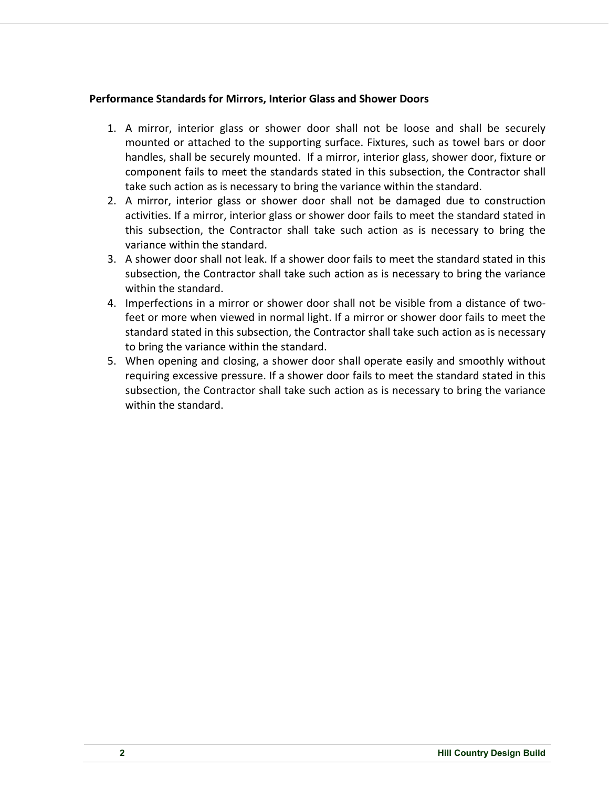#### **Performance Standards for Mirrors, Interior Glass and Shower Doors**

- 1. A mirror, interior glass or shower door shall not be loose and shall be securely mounted or attached to the supporting surface. Fixtures, such as towel bars or door handles, shall be securely mounted. If a mirror, interior glass, shower door, fixture or component fails to meet the standards stated in this subsection, the Contractor shall take such action as is necessary to bring the variance within the standard.
- 2. A mirror, interior glass or shower door shall not be damaged due to construction activities. If a mirror, interior glass or shower door fails to meet the standard stated in this subsection, the Contractor shall take such action as is necessary to bring the variance within the standard.
- 3. A shower door shall not leak. If a shower door fails to meet the standard stated in this subsection, the Contractor shall take such action as is necessary to bring the variance within the standard.
- 4. Imperfections in a mirror or shower door shall not be visible from a distance of twofeet or more when viewed in normal light. If a mirror or shower door fails to meet the standard stated in this subsection, the Contractor shall take such action as is necessary to bring the variance within the standard.
- 5. When opening and closing, a shower door shall operate easily and smoothly without requiring excessive pressure. If a shower door fails to meet the standard stated in this subsection, the Contractor shall take such action as is necessary to bring the variance within the standard.